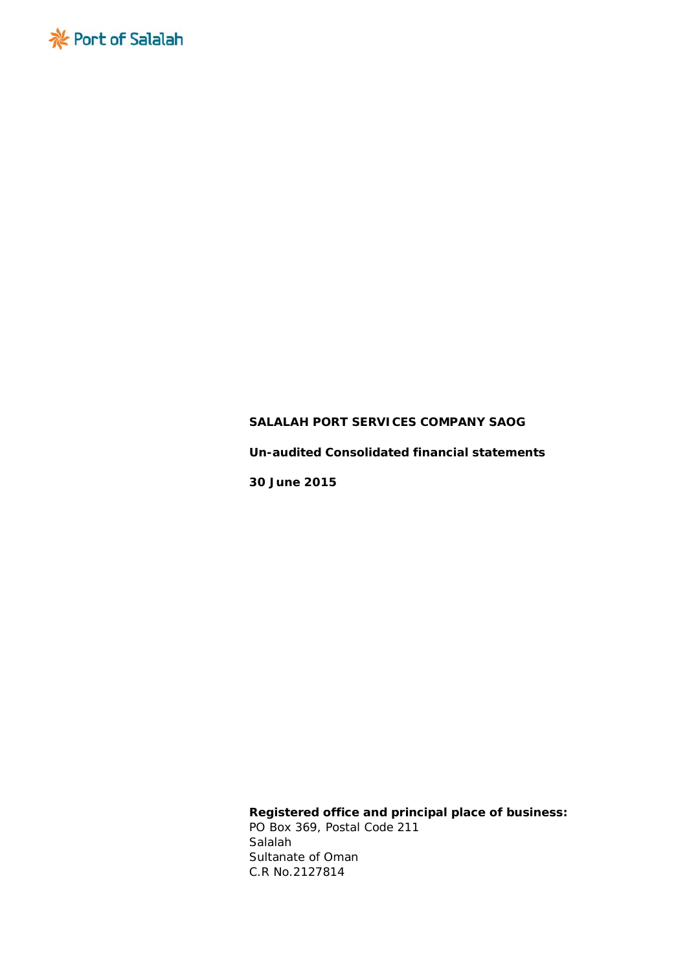

**Un-audited Consolidated financial statements**

**30 June 2015**

**Registered office and principal place of business:** PO Box 369, Postal Code 211 Salalah Sultanate of Oman *C.R No.2127814*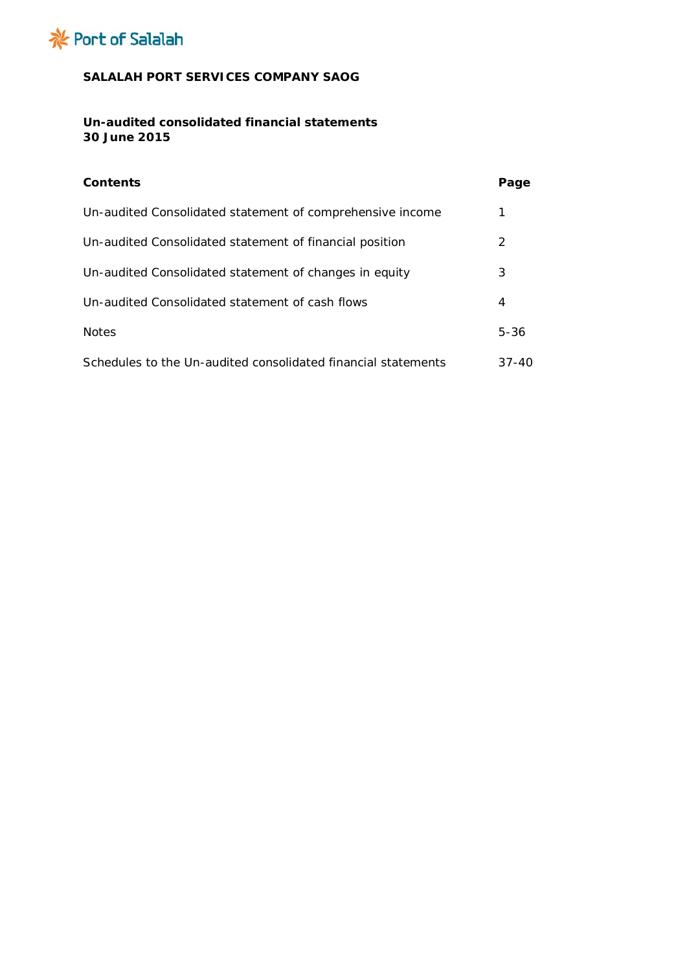

# **Un-audited consolidated financial statements 30 June 2015**

| <b>Contents</b>                                               | Page      |
|---------------------------------------------------------------|-----------|
| Un-audited Consolidated statement of comprehensive income     | 1         |
| Un-audited Consolidated statement of financial position       | 2         |
| Un-audited Consolidated statement of changes in equity        | 3         |
| Un-audited Consolidated statement of cash flows               | 4         |
| <b>Notes</b>                                                  | $5 - 36$  |
| Schedules to the Un-audited consolidated financial statements | $37 - 40$ |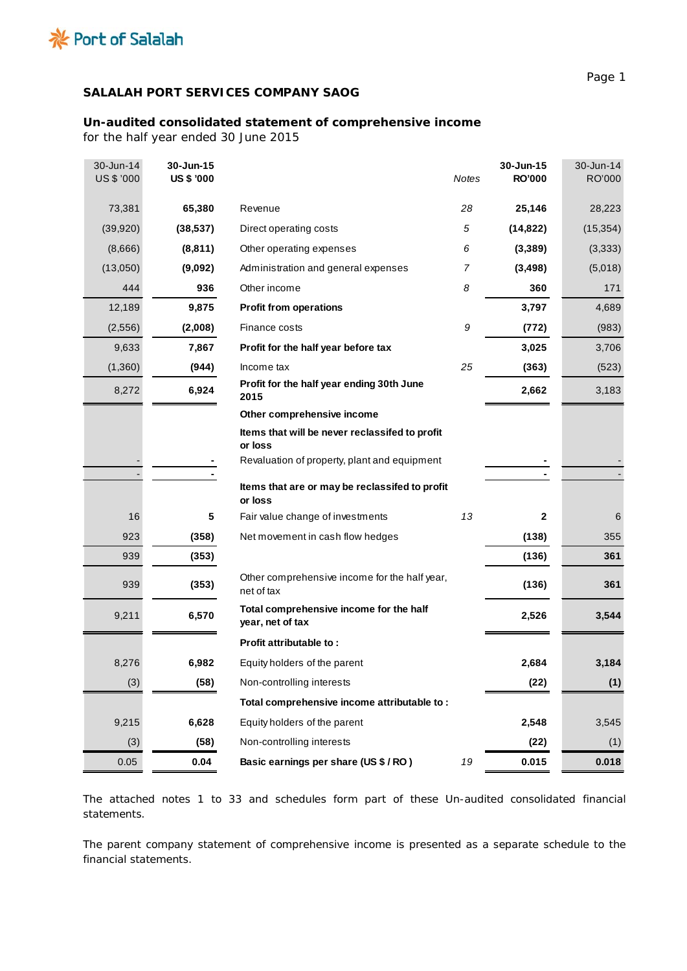

# **Un-audited consolidated statement of comprehensive income**

*for the half year ended 30 June 2015*

| 30-Jun-14<br>US \$ '000 | 30-Jun-15<br><b>US \$ '000</b> |                                                             | <b>Notes</b> | 30-Jun-15<br><b>RO'000</b> | 30-Jun-14<br>RO'000 |
|-------------------------|--------------------------------|-------------------------------------------------------------|--------------|----------------------------|---------------------|
| 73,381                  | 65,380                         | Revenue                                                     | 28           | 25,146                     | 28,223              |
| (39, 920)               | (38, 537)                      | Direct operating costs                                      | 5            | (14, 822)                  | (15, 354)           |
| (8,666)                 | (8, 811)                       | Other operating expenses                                    | 6            | (3,389)                    | (3, 333)            |
| (13,050)                | (9,092)                        | Administration and general expenses                         | 7            | (3, 498)                   | (5,018)             |
| 444                     | 936                            | Other income                                                | 8            | 360                        | 171                 |
| 12,189                  | 9,875                          | <b>Profit from operations</b>                               |              | 3,797                      | 4,689               |
| (2,556)                 | (2,008)                        | Finance costs                                               | 9            | (772)                      | (983)               |
| 9,633                   | 7,867                          | Profit for the half year before tax                         |              | 3,025                      | 3,706               |
| (1,360)                 | (944)                          | Income tax                                                  | 25           | (363)                      | (523)               |
| 8,272                   | 6,924                          | Profit for the half year ending 30th June<br>2015           |              | 2,662                      | 3,183               |
|                         |                                | Other comprehensive income                                  |              |                            |                     |
|                         |                                | Items that will be never reclassifed to profit<br>or loss   |              |                            |                     |
|                         |                                | Revaluation of property, plant and equipment                |              |                            |                     |
|                         |                                | Items that are or may be reclassifed to profit              |              |                            |                     |
|                         |                                | or loss                                                     |              |                            |                     |
| 16                      | 5                              | Fair value change of investments                            | 13           | $\mathbf{2}$               | 6                   |
| 923                     | (358)                          | Net movement in cash flow hedges                            |              | (138)                      | 355                 |
| 939                     | (353)                          |                                                             |              | (136)                      | 361                 |
| 939                     | (353)                          | Other comprehensive income for the half year,<br>net of tax |              | (136)                      | 361                 |
| 9,211                   | 6,570                          | Total comprehensive income for the half<br>year, net of tax |              | 2,526                      | 3,544               |
|                         |                                | Profit attributable to:                                     |              |                            |                     |
| 8,276                   | 6,982                          | Equity holders of the parent                                |              | 2,684                      | 3,184               |
| (3)                     | (58)                           | Non-controlling interests                                   |              | (22)                       | (1)                 |
|                         |                                | Total comprehensive income attributable to:                 |              |                            |                     |
| 9,215                   | 6,628                          | Equity holders of the parent                                |              | 2,548                      | 3,545               |
| (3)                     | (58)                           | Non-controlling interests                                   |              | (22)                       | (1)                 |
| 0.05                    | 0.04                           | Basic earnings per share (US \$ / RO)                       | 19           | 0.015                      | 0.018               |

The attached notes 1 to 33 and schedules form part of these Un-audited consolidated financial statements.

The parent company statement of comprehensive income is presented as a separate schedule to the financial statements.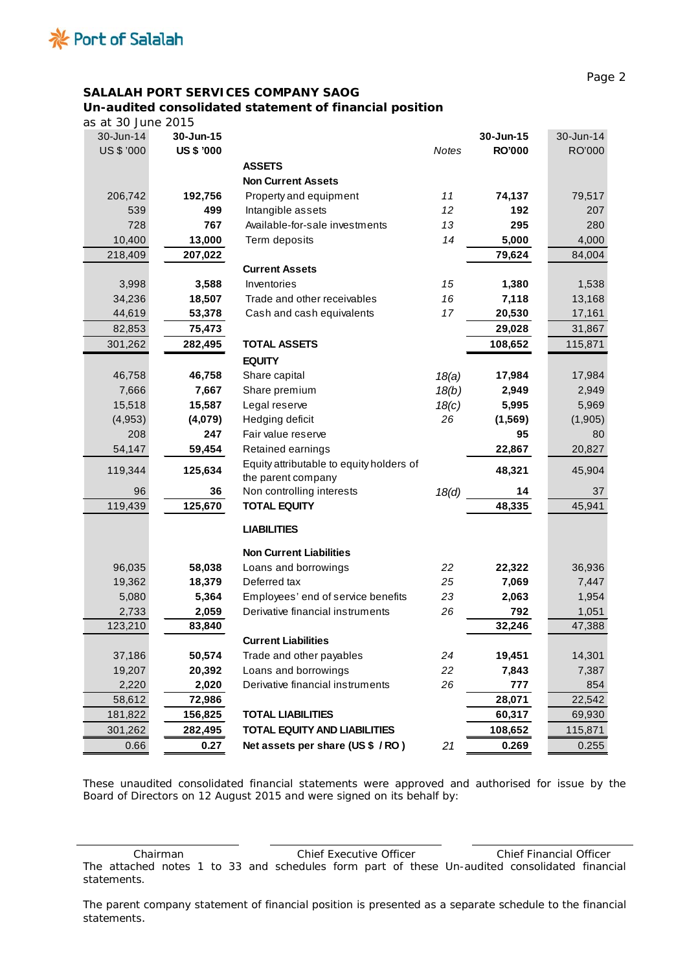

 $\overline{\phantom{a}}$ 

# **SALALAH PORT SERVICES COMPANY SAOG**

# **Un-audited consolidated statement of financial position**

*as at 30 June 2015*

| $\frac{1}{3}$ s at 30 June 2015 |                   |                                          |       |               |           |
|---------------------------------|-------------------|------------------------------------------|-------|---------------|-----------|
| 30-Jun-14                       | 30-Jun-15         |                                          |       | 30-Jun-15     | 30-Jun-14 |
| US \$ '000                      | <b>US \$ '000</b> |                                          | Notes | <b>RO'000</b> | RO'000    |
|                                 |                   | <b>ASSETS</b>                            |       |               |           |
|                                 |                   | <b>Non Current Assets</b>                |       |               |           |
| 206,742                         | 192,756           | Property and equipment                   | 11    | 74,137        | 79,517    |
| 539                             | 499               | Intangible assets                        | 12    | 192           | 207       |
| 728                             | 767               | Available-for-sale investments           | 13    | 295           | 280       |
| 10,400                          | 13,000            | Term deposits                            | 14    | 5,000         | 4,000     |
| 218,409                         | 207,022           |                                          |       | 79,624        | 84,004    |
|                                 |                   | <b>Current Assets</b>                    |       |               |           |
| 3,998                           | 3,588             | Inventories                              | 15    | 1,380         | 1,538     |
| 34,236                          | 18,507            | Trade and other receivables              | 16    | 7,118         | 13,168    |
| 44,619                          | 53,378            | Cash and cash equivalents                | 17    | 20,530        | 17,161    |
| 82,853                          | 75,473            |                                          |       | 29,028        | 31,867    |
| 301,262                         | 282,495           | <b>TOTAL ASSETS</b>                      |       | 108,652       | 115,871   |
|                                 |                   | <b>EQUITY</b>                            |       |               |           |
| 46,758                          | 46,758            | Share capital                            | 18(a) | 17,984        | 17,984    |
| 7,666                           | 7,667             | Share premium                            | 18(b) | 2,949         | 2,949     |
| 15,518                          | 15,587            | Legal reserve                            | 18(c) | 5,995         | 5,969     |
| (4,953)                         | (4,079)           | Hedging deficit                          | 26    | (1, 569)      | (1,905)   |
| 208                             | 247               | Fair value reserve                       |       | 95            | 80        |
| 54,147                          | 59,454            | Retained earnings                        |       | 22,867        | 20,827    |
|                                 |                   | Equity attributable to equity holders of |       |               |           |
| 119,344                         | 125,634           | the parent company                       |       | 48,321        | 45,904    |
| 96                              | 36                | Non controlling interests                | 18(d) | 14            | 37        |
| 119,439                         | 125,670           | <b>TOTAL EQUITY</b>                      |       | 48,335        | 45,941    |
|                                 |                   |                                          |       |               |           |
|                                 |                   | <b>LIABILITIES</b>                       |       |               |           |
|                                 |                   | <b>Non Current Liabilities</b>           |       |               |           |
| 96,035                          | 58,038            | Loans and borrowings                     | 22    | 22,322        | 36,936    |
| 19,362                          | 18,379            | Deferred tax                             | 25    | 7,069         | 7,447     |
| 5,080                           | 5,364             | Employees' end of service benefits       | 23    | 2,063         | 1,954     |
| 2,733                           | 2,059             | Derivative financial instruments         | 26    | 792           | 1,051     |
| 123,210                         | 83,840            |                                          |       | 32,246        | 47,388    |
|                                 |                   | <b>Current Liabilities</b>               |       |               |           |
| 37,186                          | 50,574            | Trade and other payables                 | 24    | 19,451        | 14,301    |
| 19,207                          | 20,392            | Loans and borrowings                     | 22    | 7,843         | 7,387     |
| 2,220                           | 2,020             | Derivative financial instruments         | 26    | 777           | 854       |
| 58,612                          | 72,986            |                                          |       | 28,071        | 22,542    |
| 181,822                         | 156,825           | <b>TOTAL LIABILITIES</b>                 |       | 60,317        | 69,930    |
| 301,262                         | 282,495           | <b>TOTAL EQUITY AND LIABILITIES</b>      |       | 108,652       | 115,871   |
| 0.66                            | 0.27              | Net assets per share (US \$ / RO)        | 21    | 0.269         | 0.255     |
|                                 |                   |                                          |       |               |           |

These unaudited consolidated financial statements were approved and authorised for issue by the Board of Directors on 12 August 2015 and were signed on its behalf by:

Chairman Chief Executive Officer Chief Financial Officer The attached notes 1 to 33 and schedules form part of these Un-audited consolidated financial statements.

The parent company statement of financial position is presented as a separate schedule to the financial statements.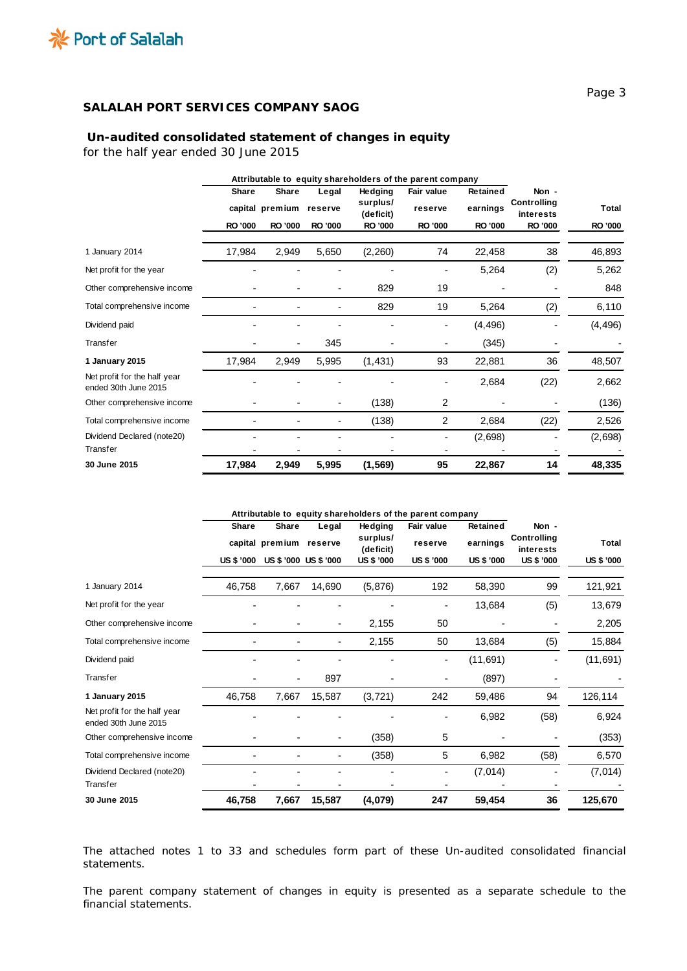

## **Un-audited consolidated statement of changes in equity**

*for the half year ended 30 June 2015*

|                                                      | Attributable to equity shareholders of the parent company |                 |         |                       |            |                 |                          |                |
|------------------------------------------------------|-----------------------------------------------------------|-----------------|---------|-----------------------|------------|-----------------|--------------------------|----------------|
|                                                      | <b>Share</b>                                              | <b>Share</b>    | Legal   | Hedging               | Fair value | <b>Retained</b> | Non -                    |                |
|                                                      |                                                           | capital premium | reserve | surplus/<br>(deficit) | reserve    | earnings        | Controlling<br>interests | Total          |
|                                                      | <b>RO '000</b>                                            | <b>RO '000</b>  | RO '000 | <b>RO '000</b>        | RO '000    | <b>RO '000</b>  | <b>RO '000</b>           | <b>RO '000</b> |
| 1 January 2014                                       | 17,984                                                    | 2,949           | 5,650   | (2,260)               | 74         | 22,458          | 38                       | 46,893         |
| Net profit for the year                              |                                                           |                 |         |                       |            | 5,264           | (2)                      | 5,262          |
| Other comprehensive income                           |                                                           |                 |         | 829                   | 19         |                 |                          | 848            |
| Total comprehensive income                           |                                                           |                 |         | 829                   | 19         | 5,264           | (2)                      | 6,110          |
| Dividend paid                                        |                                                           |                 |         |                       |            | (4, 496)        |                          | (4, 496)       |
| Transfer                                             |                                                           |                 | 345     |                       |            | (345)           |                          |                |
| 1 January 2015                                       | 17,984                                                    | 2,949           | 5,995   | (1,431)               | 93         | 22,881          | 36                       | 48,507         |
| Net profit for the half year<br>ended 30th June 2015 |                                                           |                 |         |                       |            | 2,684           | (22)                     | 2,662          |
| Other comprehensive income                           |                                                           |                 |         | (138)                 | 2          |                 |                          | (136)          |
| Total comprehensive income                           |                                                           |                 | ۰       | (138)                 | 2          | 2,684           | (22)                     | 2,526          |
| Dividend Declared (note20)                           |                                                           |                 |         |                       |            | (2,698)         |                          | (2,698)        |
| Transfer                                             |                                                           |                 |         |                       |            |                 |                          |                |
| 30 June 2015                                         | 17,984                                                    | 2,949           | 5,995   | (1, 569)              | 95         | 22,867          | 14                       | 48,335         |

|                                                      |                                   | Attributable to equity shareholders of the parent company |                                |                                                |                                     |                                           |                                                 |                            |
|------------------------------------------------------|-----------------------------------|-----------------------------------------------------------|--------------------------------|------------------------------------------------|-------------------------------------|-------------------------------------------|-------------------------------------------------|----------------------------|
|                                                      | <b>Share</b><br><b>US \$ '000</b> | <b>Share</b><br>capital premium reserve                   | Legal<br>US \$ '000 US \$ '000 | Hedging<br>surplus/<br>(deficit)<br>US \$ '000 | Fair value<br>reserve<br>US \$ '000 | <b>Retained</b><br>earnings<br>US \$ '000 | Non -<br>Controlling<br>interests<br>US \$ '000 | Total<br><b>US \$ '000</b> |
|                                                      |                                   |                                                           |                                |                                                |                                     |                                           |                                                 |                            |
| 1 January 2014                                       | 46,758                            | 7,667                                                     | 14,690                         | (5,876)                                        | 192                                 | 58,390                                    | 99                                              | 121,921                    |
| Net profit for the year                              |                                   |                                                           |                                |                                                |                                     | 13,684                                    | (5)                                             | 13,679                     |
| Other comprehensive income                           |                                   |                                                           |                                | 2,155                                          | 50                                  |                                           |                                                 | 2,205                      |
| Total comprehensive income                           |                                   |                                                           |                                | 2,155                                          | 50                                  | 13,684                                    | (5)                                             | 15,884                     |
| Dividend paid                                        |                                   |                                                           |                                |                                                |                                     | (11, 691)                                 |                                                 | (11, 691)                  |
| Transfer                                             |                                   |                                                           | 897                            |                                                |                                     | (897)                                     |                                                 |                            |
| 1 January 2015                                       | 46,758                            | 7,667                                                     | 15,587                         | (3, 721)                                       | 242                                 | 59,486                                    | 94                                              | 126,114                    |
| Net profit for the half year<br>ended 30th June 2015 |                                   |                                                           |                                |                                                |                                     | 6,982                                     | (58)                                            | 6,924                      |
| Other comprehensive income                           |                                   |                                                           |                                | (358)                                          | 5                                   |                                           |                                                 | (353)                      |
| Total comprehensive income                           |                                   |                                                           |                                | (358)                                          | 5                                   | 6,982                                     | (58)                                            | 6,570                      |
| Dividend Declared (note20)                           |                                   |                                                           |                                |                                                |                                     | (7,014)                                   |                                                 | (7,014)                    |
| Transfer                                             |                                   |                                                           |                                |                                                |                                     |                                           |                                                 |                            |
| 30 June 2015                                         | 46,758                            | 7,667                                                     | 15,587                         | (4,079)                                        | 247                                 | 59,454                                    | 36                                              | 125,670                    |

The attached notes 1 to 33 and schedules form part of these Un-audited consolidated financial statements.

The parent company statement of changes in equity is presented as a separate schedule to the financial statements.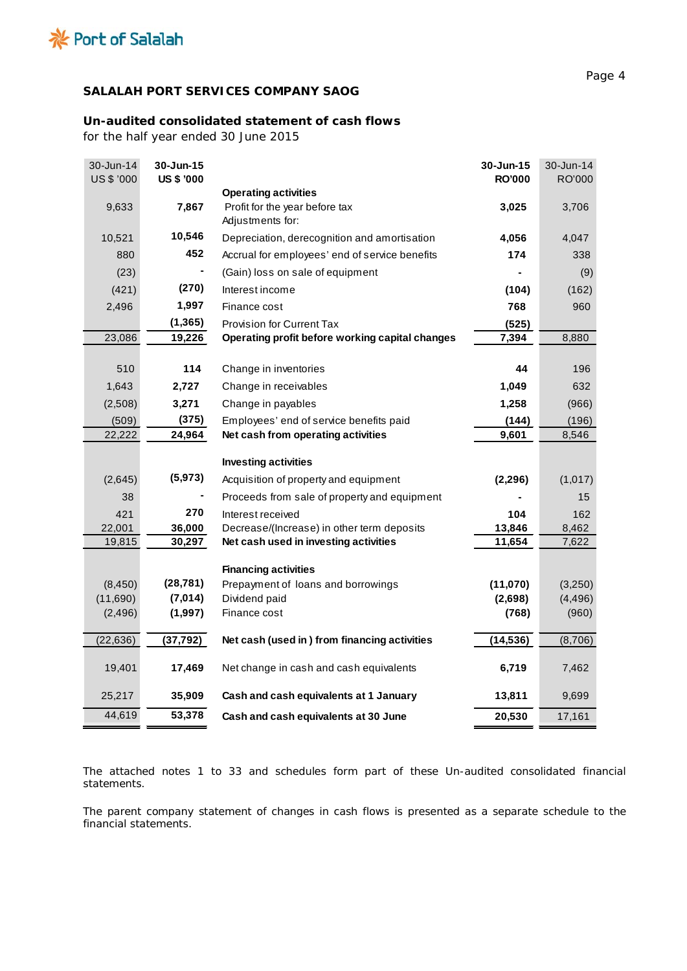

# **Un-audited consolidated statement of cash flows**

*for the half year ended 30 June 2015*

| 30-Jun-14<br>US \$ '000 | 30-Jun-15<br><b>US \$ '000</b> |                                                    | 30-Jun-15<br><b>RO'000</b> | 30-Jun-14<br>RO'000 |
|-------------------------|--------------------------------|----------------------------------------------------|----------------------------|---------------------|
|                         |                                | <b>Operating activities</b>                        |                            |                     |
| 9,633                   | 7,867                          | Profit for the year before tax<br>Adjustments for: | 3,025                      | 3,706               |
| 10,521                  | 10,546                         | Depreciation, derecognition and amortisation       | 4,056                      | 4,047               |
| 880                     | 452                            | Accrual for employees' end of service benefits     | 174                        | 338                 |
| (23)                    |                                | (Gain) loss on sale of equipment                   |                            | (9)                 |
| (421)                   | (270)                          | Interest income                                    | (104)                      | (162)               |
| 2,496                   | 1,997                          | Finance cost                                       | 768                        | 960                 |
|                         | (1, 365)                       | <b>Provision for Current Tax</b>                   | (525)                      |                     |
| 23,086                  | 19,226                         | Operating profit before working capital changes    | 7,394                      | 8,880               |
|                         |                                |                                                    |                            |                     |
| 510                     | 114                            | Change in inventories                              | 44                         | 196                 |
| 1,643                   | 2,727                          | Change in receivables                              | 1,049                      | 632                 |
| (2,508)                 | 3,271                          | Change in payables                                 | 1,258                      | (966)               |
| (509)                   | (375)                          | Employees' end of service benefits paid            | (144)                      | (196)               |
| 22,222                  | 24,964                         | Net cash from operating activities                 | 9,601                      | 8,546               |
|                         |                                | <b>Investing activities</b>                        |                            |                     |
| (2,645)                 | (5, 973)                       | Acquisition of property and equipment              | (2, 296)                   | (1,017)             |
| 38                      |                                | Proceeds from sale of property and equipment       |                            | 15                  |
| 421                     | 270                            | Interest received                                  | 104                        | 162                 |
| 22,001                  | 36,000                         | Decrease/(Increase) in other term deposits         | 13,846                     | 8,462               |
| 19,815                  | 30,297                         | Net cash used in investing activities              | 11,654                     | 7,622               |
|                         |                                | <b>Financing activities</b>                        |                            |                     |
| (8, 450)                | (28, 781)                      | Prepayment of loans and borrowings                 | (11,070)                   | (3,250)             |
| (11,690)                | (7, 014)                       | Dividend paid                                      | (2,698)                    | (4, 496)            |
| (2, 496)                | (1,997)                        | Finance cost                                       | (768)                      | (960)               |
| (22, 636)               | (37, 792)                      | Net cash (used in ) from financing activities      | (14, 536)                  | (8,706)             |
|                         |                                |                                                    |                            |                     |
| 19,401                  | 17,469                         | Net change in cash and cash equivalents            | 6,719                      | 7,462               |
| 25,217                  | 35,909                         | Cash and cash equivalents at 1 January             | 13,811                     | 9,699               |
| 44,619                  | 53,378                         | Cash and cash equivalents at 30 June               | 20,530                     | 17,161              |

The attached notes 1 to 33 and schedules form part of these Un-audited consolidated financial statements.

The parent company statement of changes in cash flows is presented as a separate schedule to the financial statements.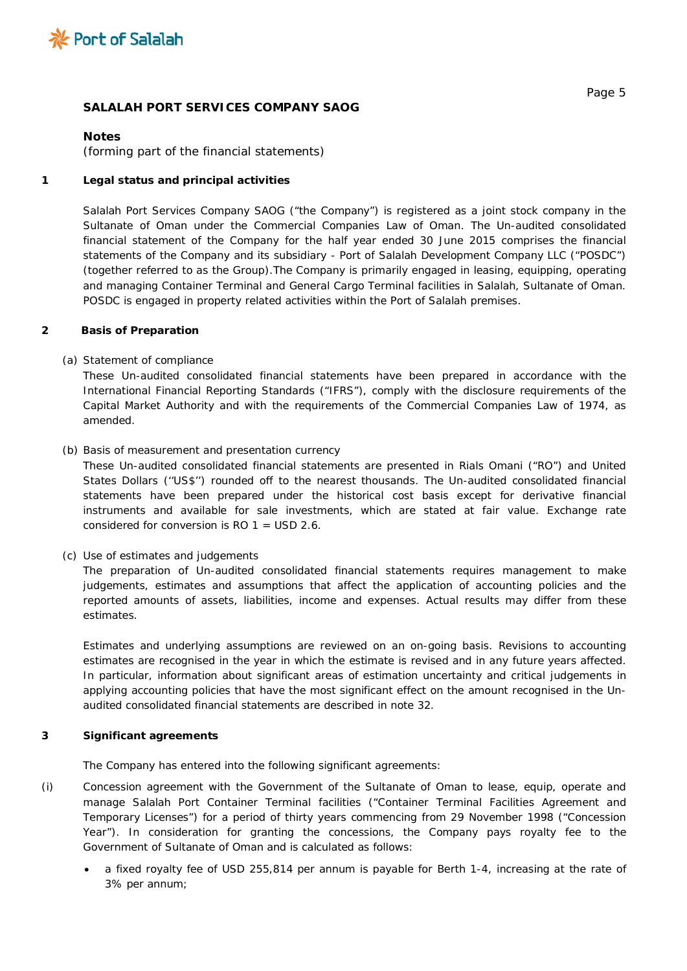

#### **Notes**

*(forming part of the financial statements)*

### **1 Legal status and principal activities**

Salalah Port Services Company SAOG ("the Company") is registered as a joint stock company in the Sultanate of Oman under the Commercial Companies Law of Oman. The Un-audited consolidated financial statement of the Company for the half year ended 30 June 2015 comprises the financial statements of the Company and its subsidiary - Port of Salalah Development Company LLC ("POSDC") (together referred to as the Group).The Company is primarily engaged in leasing, equipping, operating and managing Container Terminal and General Cargo Terminal facilities in Salalah, Sultanate of Oman. POSDC is engaged in property related activities within the Port of Salalah premises.

#### **2 Basis of Preparation**

#### *(a) Statement of compliance*

These Un-audited consolidated financial statements have been prepared in accordance with the International Financial Reporting Standards ("IFRS"), comply with the disclosure requirements of the Capital Market Authority and with the requirements of the Commercial Companies Law of 1974, as amended.

#### *(b) Basis of measurement and presentation currency*

These Un-audited consolidated financial statements are presented in Rials Omani ("RO") and United States Dollars (''US\$'') rounded off to the nearest thousands. The Un-audited consolidated financial statements have been prepared under the historical cost basis except for derivative financial instruments and available for sale investments, which are stated at fair value. Exchange rate considered for conversion is RO 1 = USD 2.6.

#### *(c) Use of estimates and judgements*

The preparation of Un-audited consolidated financial statements requires management to make judgements, estimates and assumptions that affect the application of accounting policies and the reported amounts of assets, liabilities, income and expenses. Actual results may differ from these estimates.

Estimates and underlying assumptions are reviewed on an on-going basis. Revisions to accounting estimates are recognised in the year in which the estimate is revised and in any future years affected. In particular, information about significant areas of estimation uncertainty and critical judgements in applying accounting policies that have the most significant effect on the amount recognised in the Unaudited consolidated financial statements are described in note 32.

#### **3 Significant agreements**

The Company has entered into the following significant agreements:

- (i) Concession agreement with the Government of the Sultanate of Oman to lease, equip, operate and manage Salalah Port Container Terminal facilities ("Container Terminal Facilities Agreement and Temporary Licenses") for a period of thirty years commencing from 29 November 1998 ("Concession Year"). In consideration for granting the concessions, the Company pays royalty fee to the Government of Sultanate of Oman and is calculated as follows:
	- a fixed royalty fee of USD 255,814 per annum is payable for Berth 1-4, increasing at the rate of 3% per annum;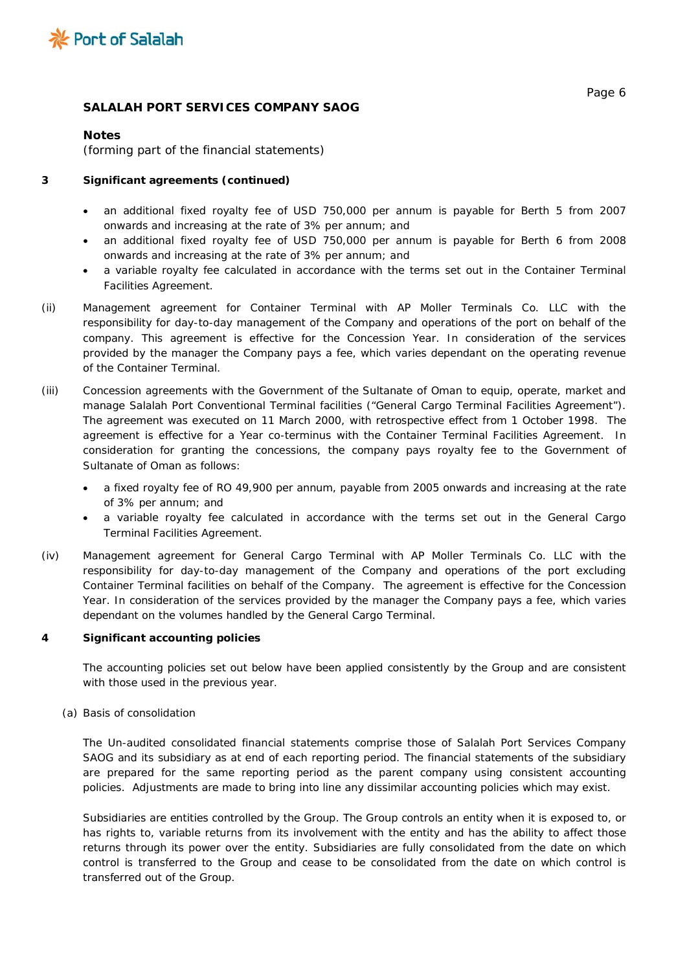

## **Notes**

*(forming part of the financial statements)*

## **3 Significant agreements (continued)**

- an additional fixed royalty fee of USD 750,000 per annum is payable for Berth 5 from 2007 onwards and increasing at the rate of 3% per annum; and
- an additional fixed royalty fee of USD 750,000 per annum is payable for Berth 6 from 2008 onwards and increasing at the rate of 3% per annum; and
- a variable royalty fee calculated in accordance with the terms set out in the Container Terminal Facilities Agreement.
- (ii) Management agreement for Container Terminal with AP Moller Terminals Co. LLC with the responsibility for day-to-day management of the Company and operations of the port on behalf of the company. This agreement is effective for the Concession Year. In consideration of the services provided by the manager the Company pays a fee, which varies dependant on the operating revenue of the Container Terminal.
- (iii) Concession agreements with the Government of the Sultanate of Oman to equip, operate, market and manage Salalah Port Conventional Terminal facilities ("General Cargo Terminal Facilities Agreement"). The agreement was executed on 11 March 2000, with retrospective effect from 1 October 1998. The agreement is effective for a Year co-terminus with the Container Terminal Facilities Agreement. In consideration for granting the concessions, the company pays royalty fee to the Government of Sultanate of Oman as follows:
	- a fixed royalty fee of RO 49,900 per annum, payable from 2005 onwards and increasing at the rate of 3% per annum; and
	- a variable royalty fee calculated in accordance with the terms set out in the General Cargo Terminal Facilities Agreement.
- (iv) Management agreement for General Cargo Terminal with AP Moller Terminals Co. LLC with the responsibility for day-to-day management of the Company and operations of the port excluding Container Terminal facilities on behalf of the Company. The agreement is effective for the Concession Year. In consideration of the services provided by the manager the Company pays a fee, which varies dependant on the volumes handled by the General Cargo Terminal.

## **4 Significant accounting policies**

The accounting policies set out below have been applied consistently by the Group and are consistent with those used in the previous year.

## *(a) Basis of consolidation*

The Un-audited consolidated financial statements comprise those of Salalah Port Services Company SAOG and its subsidiary as at end of each reporting period. The financial statements of the subsidiary are prepared for the same reporting period as the parent company using consistent accounting policies. Adjustments are made to bring into line any dissimilar accounting policies which may exist.

Subsidiaries are entities controlled by the Group. The Group controls an entity when it is exposed to, or has rights to, variable returns from its involvement with the entity and has the ability to affect those returns through its power over the entity. Subsidiaries are fully consolidated from the date on which control is transferred to the Group and cease to be consolidated from the date on which control is transferred out of the Group.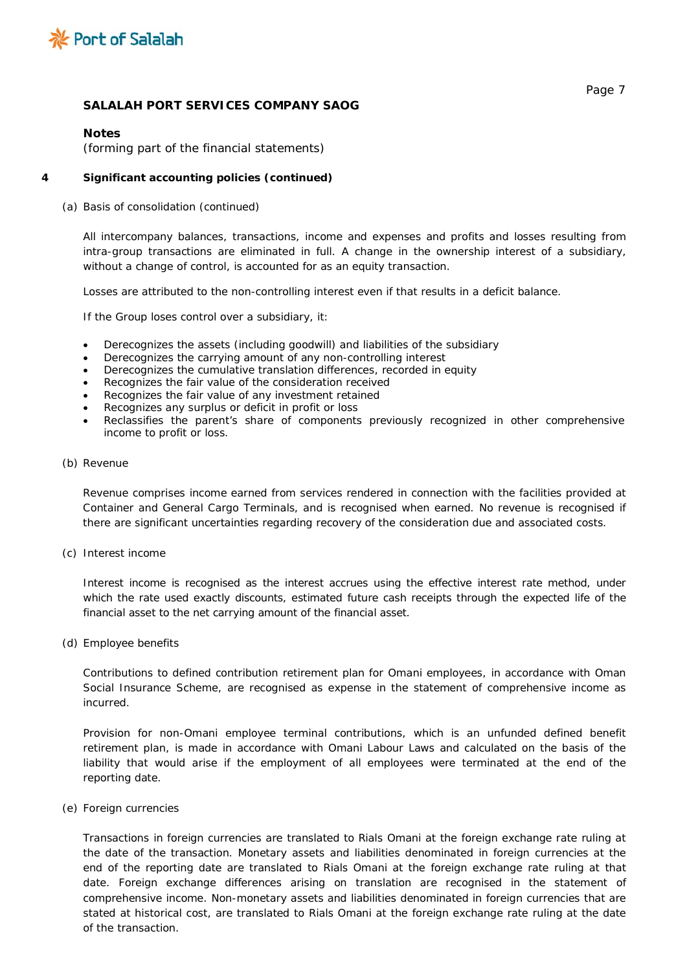

### **Notes**

*(forming part of the financial statements)*

### **4 Significant accounting policies** *(continued)*

#### *(a) Basis of consolidation (continued)*

All intercompany balances, transactions, income and expenses and profits and losses resulting from intra-group transactions are eliminated in full. A change in the ownership interest of a subsidiary, without a change of control, is accounted for as an equity transaction.

Losses are attributed to the non-controlling interest even if that results in a deficit balance.

If the Group loses control over a subsidiary, it:

- Derecognizes the assets (including goodwill) and liabilities of the subsidiary
- Derecognizes the carrying amount of any non-controlling interest
- Derecognizes the cumulative translation differences, recorded in equity
- Recognizes the fair value of the consideration received
- Recognizes the fair value of any investment retained
- Recognizes any surplus or deficit in profit or loss
- Reclassifies the parent's share of components previously recognized in other comprehensive income to profit or loss.

#### *(b) Revenue*

Revenue comprises income earned from services rendered in connection with the facilities provided at Container and General Cargo Terminals, and is recognised when earned. No revenue is recognised if there are significant uncertainties regarding recovery of the consideration due and associated costs.

*(c) Interest income* 

Interest income is recognised as the interest accrues using the effective interest rate method, under which the rate used exactly discounts, estimated future cash receipts through the expected life of the financial asset to the net carrying amount of the financial asset.

*(d) Employee benefits*

Contributions to defined contribution retirement plan for Omani employees, in accordance with Oman Social Insurance Scheme, are recognised as expense in the statement of comprehensive income as incurred.

Provision for non-Omani employee terminal contributions, which is an unfunded defined benefit retirement plan, is made in accordance with Omani Labour Laws and calculated on the basis of the liability that would arise if the employment of all employees were terminated at the end of the reporting date.

*(e) Foreign currencies*

Transactions in foreign currencies are translated to Rials Omani at the foreign exchange rate ruling at the date of the transaction. Monetary assets and liabilities denominated in foreign currencies at the end of the reporting date are translated to Rials Omani at the foreign exchange rate ruling at that date. Foreign exchange differences arising on translation are recognised in the statement of comprehensive income. Non-monetary assets and liabilities denominated in foreign currencies that are stated at historical cost, are translated to Rials Omani at the foreign exchange rate ruling at the date of the transaction.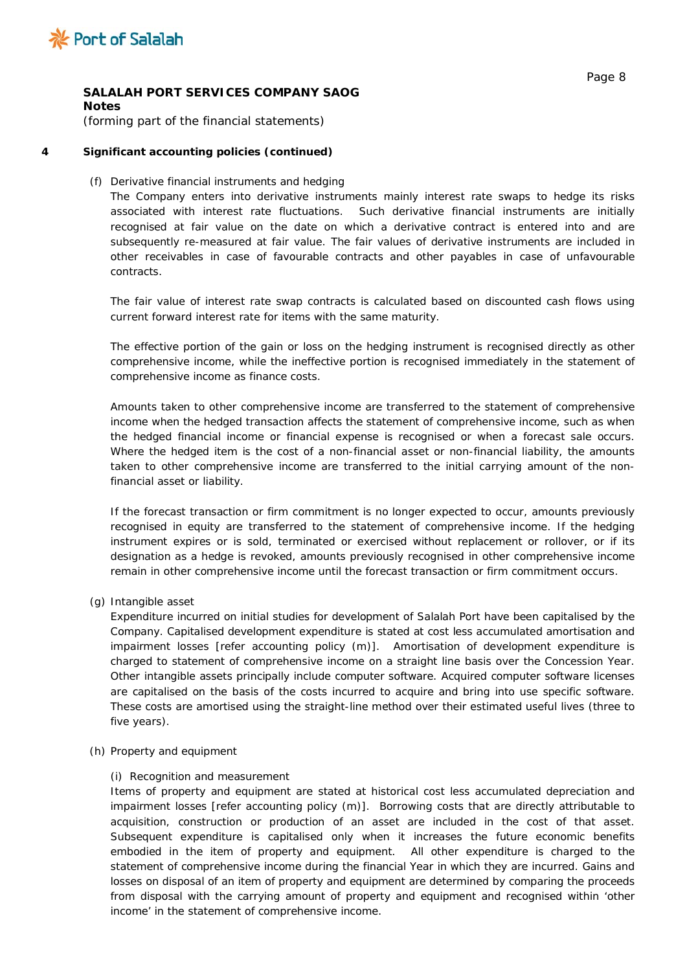

**Notes**

*(forming part of the financial statements)*

## **4 Significant accounting policies** *(continued)*

## *(f) Derivative financial instruments and hedging*

The Company enters into derivative instruments mainly interest rate swaps to hedge its risks associated with interest rate fluctuations. Such derivative financial instruments are initially recognised at fair value on the date on which a derivative contract is entered into and are subsequently re-measured at fair value. The fair values of derivative instruments are included in other receivables in case of favourable contracts and other payables in case of unfavourable contracts.

The fair value of interest rate swap contracts is calculated based on discounted cash flows using current forward interest rate for items with the same maturity.

The effective portion of the gain or loss on the hedging instrument is recognised directly as other comprehensive income, while the ineffective portion is recognised immediately in the statement of comprehensive income as finance costs.

Amounts taken to other comprehensive income are transferred to the statement of comprehensive income when the hedged transaction affects the statement of comprehensive income, such as when the hedged financial income or financial expense is recognised or when a forecast sale occurs. Where the hedged item is the cost of a non-financial asset or non-financial liability, the amounts taken to other comprehensive income are transferred to the initial carrying amount of the nonfinancial asset or liability.

If the forecast transaction or firm commitment is no longer expected to occur, amounts previously recognised in equity are transferred to the statement of comprehensive income. If the hedging instrument expires or is sold, terminated or exercised without replacement or rollover, or if its designation as a hedge is revoked, amounts previously recognised in other comprehensive income remain in other comprehensive income until the forecast transaction or firm commitment occurs.

*(g) Intangible asset*

Expenditure incurred on initial studies for development of Salalah Port have been capitalised by the Company. Capitalised development expenditure is stated at cost less accumulated amortisation and impairment losses [refer accounting policy (m)]. Amortisation of development expenditure is charged to statement of comprehensive income on a straight line basis over the Concession Year. Other intangible assets principally include computer software. Acquired computer software licenses are capitalised on the basis of the costs incurred to acquire and bring into use specific software. These costs are amortised using the straight-line method over their estimated useful lives (three to five years).

## *(h) Property and equipment*

## (i) *Recognition and measurement*

Items of property and equipment are stated at historical cost less accumulated depreciation and impairment losses [refer accounting policy (m)]. Borrowing costs that are directly attributable to acquisition, construction or production of an asset are included in the cost of that asset. Subsequent expenditure is capitalised only when it increases the future economic benefits embodied in the item of property and equipment. All other expenditure is charged to the statement of comprehensive income during the financial Year in which they are incurred. Gains and losses on disposal of an item of property and equipment are determined by comparing the proceeds from disposal with the carrying amount of property and equipment and recognised within 'other income' in the statement of comprehensive income.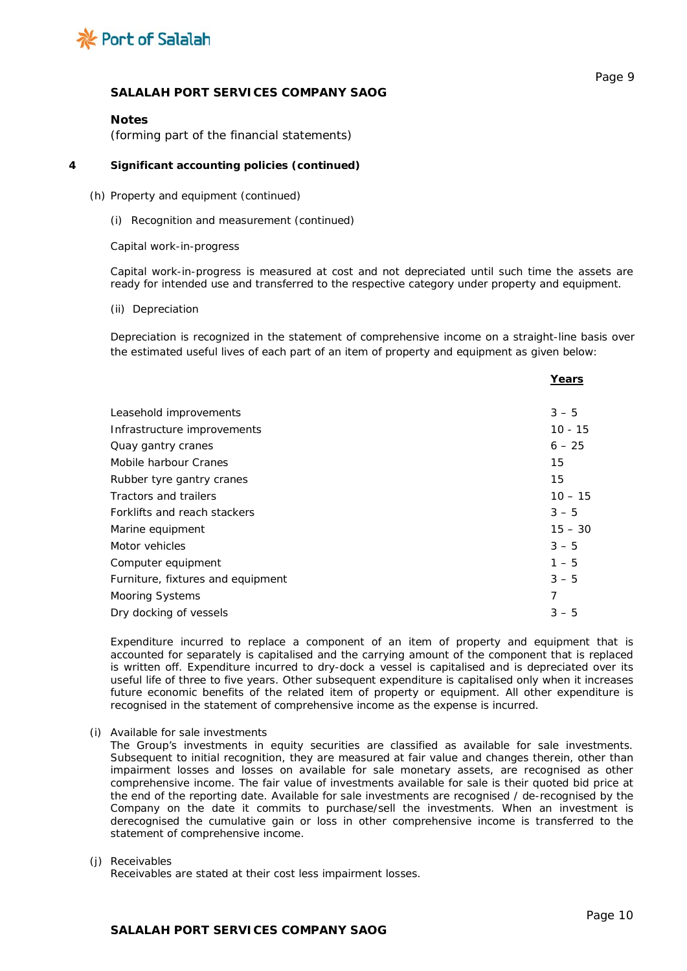

**Years**

## **SALALAH PORT SERVICES COMPANY SAOG**

#### **Notes**

*(forming part of the financial statements)*

#### **4 Significant accounting policies** *(continued)*

#### *(h) Property and equipment (continued)*

*(i) Recognition and measurement (continued)*

#### *Capital work-in-progress*

Capital work-in-progress is measured at cost and not depreciated until such time the assets are ready for intended use and transferred to the respective category under property and equipment.

*(ii) Depreciation*

Depreciation is recognized in the statement of comprehensive income on a straight-line basis over the estimated useful lives of each part of an item of property and equipment as given below:

|                                   | i cai s   |
|-----------------------------------|-----------|
|                                   |           |
| Leasehold improvements            | $3 - 5$   |
| Infrastructure improvements       | $10 - 15$ |
| Quay gantry cranes                | $6 - 25$  |
| Mobile harbour Cranes             | 15        |
| Rubber tyre gantry cranes         | 15        |
| Tractors and trailers             | $10 - 15$ |
| Forklifts and reach stackers      | $3 - 5$   |
| Marine equipment                  | $15 - 30$ |
| Motor vehicles                    | $3 - 5$   |
| Computer equipment                | $1 - 5$   |
| Furniture, fixtures and equipment | $3 - 5$   |
| Mooring Systems                   | 7         |
| Dry docking of vessels            | $3 - 5$   |
|                                   |           |

Expenditure incurred to replace a component of an item of property and equipment that is accounted for separately is capitalised and the carrying amount of the component that is replaced is written off. Expenditure incurred to dry-dock a vessel is capitalised and is depreciated over its useful life of three to five years. Other subsequent expenditure is capitalised only when it increases future economic benefits of the related item of property or equipment. All other expenditure is recognised in the statement of comprehensive income as the expense is incurred.

*(i) Available for sale investments*

The Group's investments in equity securities are classified as available for sale investments. Subsequent to initial recognition, they are measured at fair value and changes therein, other than impairment losses and losses on available for sale monetary assets, are recognised as other comprehensive income. The fair value of investments available for sale is their quoted bid price at the end of the reporting date. Available for sale investments are recognised / de-recognised by the Company on the date it commits to purchase/sell the investments. When an investment is derecognised the cumulative gain or loss in other comprehensive income is transferred to the statement of comprehensive income.

#### *(j) Receivables*

Receivables are stated at their cost less impairment losses.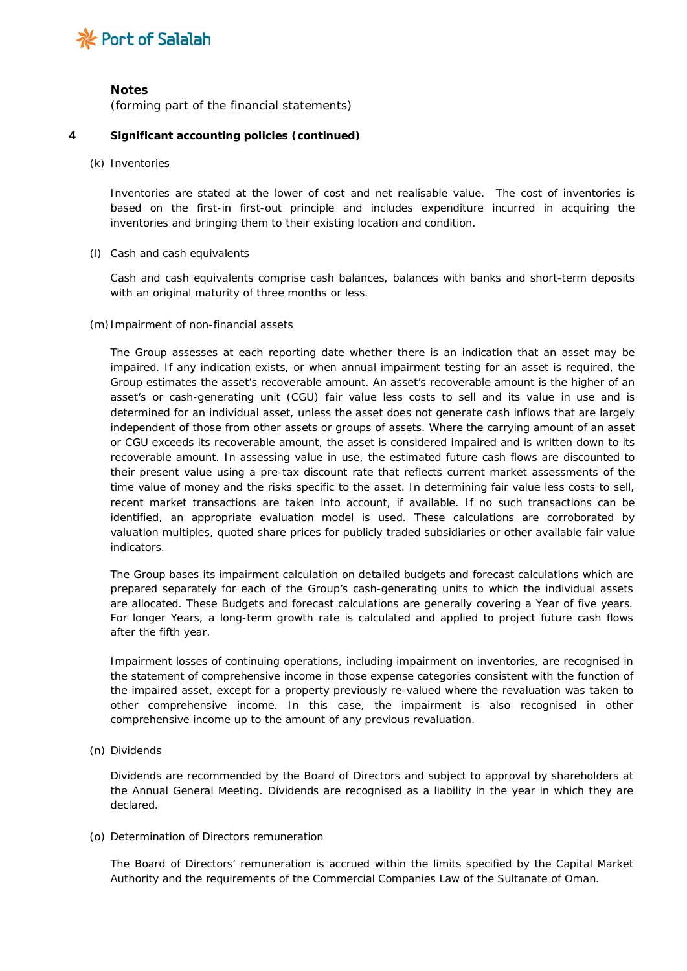

## **Notes**

*(forming part of the financial statements)*

## **4 Significant accounting policies** *(continued)*

### *(k) Inventories*

Inventories are stated at the lower of cost and net realisable value. The cost of inventories is based on the first-in first-out principle and includes expenditure incurred in acquiring the inventories and bringing them to their existing location and condition.

## *(l) Cash and cash equivalents*

Cash and cash equivalents comprise cash balances, balances with banks and short-term deposits with an original maturity of three months or less.

#### *(m)Impairment of non-financial assets*

The Group assesses at each reporting date whether there is an indication that an asset may be impaired. If any indication exists, or when annual impairment testing for an asset is required, the Group estimates the asset's recoverable amount. An asset's recoverable amount is the higher of an asset's or cash-generating unit (CGU) fair value less costs to sell and its value in use and is determined for an individual asset, unless the asset does not generate cash inflows that are largely independent of those from other assets or groups of assets. Where the carrying amount of an asset or CGU exceeds its recoverable amount, the asset is considered impaired and is written down to its recoverable amount. In assessing value in use, the estimated future cash flows are discounted to their present value using a pre-tax discount rate that reflects current market assessments of the time value of money and the risks specific to the asset. In determining fair value less costs to sell, recent market transactions are taken into account, if available. If no such transactions can be identified, an appropriate evaluation model is used. These calculations are corroborated by valuation multiples, quoted share prices for publicly traded subsidiaries or other available fair value indicators.

The Group bases its impairment calculation on detailed budgets and forecast calculations which are prepared separately for each of the Group's cash-generating units to which the individual assets are allocated. These Budgets and forecast calculations are generally covering a Year of five years. For longer Years, a long-term growth rate is calculated and applied to project future cash flows after the fifth year.

Impairment losses of continuing operations, including impairment on inventories, are recognised in the statement of comprehensive income in those expense categories consistent with the function of the impaired asset, except for a property previously re-valued where the revaluation was taken to other comprehensive income. In this case, the impairment is also recognised in other comprehensive income up to the amount of any previous revaluation.

## *(n) Dividends*

Dividends are recommended by the Board of Directors and subject to approval by shareholders at the Annual General Meeting. Dividends are recognised as a liability in the year in which they are declared.

## *(o) Determination of Directors remuneration*

The Board of Directors' remuneration is accrued within the limits specified by the Capital Market Authority and the requirements of the Commercial Companies Law of the Sultanate of Oman.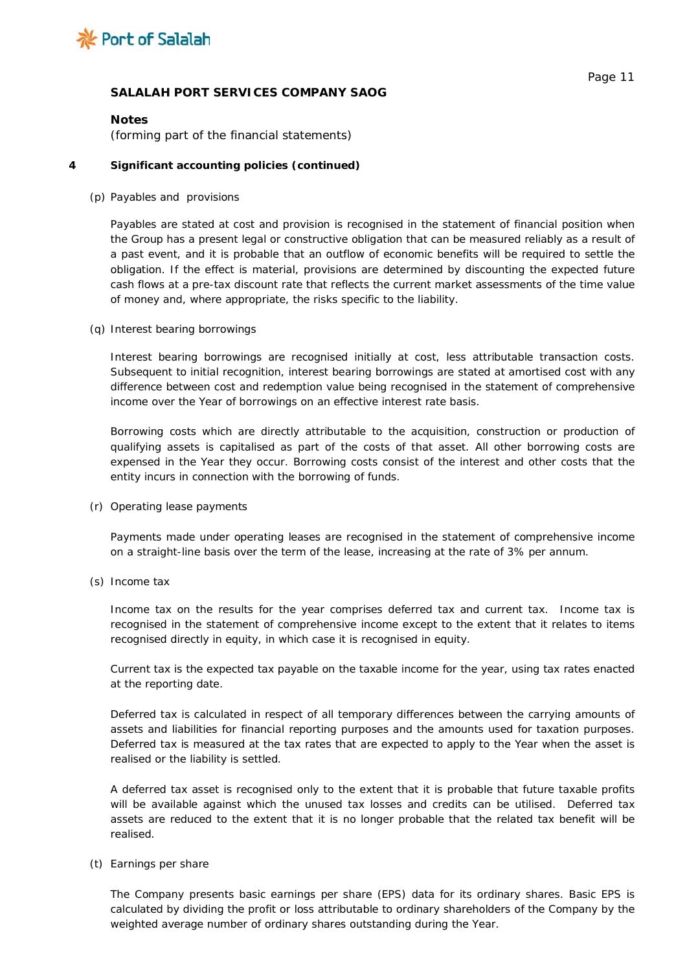

## **Notes**

*(forming part of the financial statements)*

## **4 Significant accounting policies** *(continued)*

## *(p) Payables and provisions*

Payables are stated at cost and provision is recognised in the statement of financial position when the Group has a present legal or constructive obligation that can be measured reliably as a result of a past event, and it is probable that an outflow of economic benefits will be required to settle the obligation. If the effect is material, provisions are determined by discounting the expected future cash flows at a pre-tax discount rate that reflects the current market assessments of the time value of money and, where appropriate, the risks specific to the liability.

## *(q) Interest bearing borrowings*

Interest bearing borrowings are recognised initially at cost, less attributable transaction costs. Subsequent to initial recognition, interest bearing borrowings are stated at amortised cost with any difference between cost and redemption value being recognised in the statement of comprehensive income over the Year of borrowings on an effective interest rate basis.

Borrowing costs which are directly attributable to the acquisition, construction or production of qualifying assets is capitalised as part of the costs of that asset. All other borrowing costs are expensed in the Year they occur. Borrowing costs consist of the interest and other costs that the entity incurs in connection with the borrowing of funds.

## *(r) Operating lease payments*

Payments made under operating leases are recognised in the statement of comprehensive income on a straight-line basis over the term of the lease, increasing at the rate of 3% per annum.

## *(s) Income tax*

Income tax on the results for the year comprises deferred tax and current tax. Income tax is recognised in the statement of comprehensive income except to the extent that it relates to items recognised directly in equity, in which case it is recognised in equity.

Current tax is the expected tax payable on the taxable income for the year, using tax rates enacted at the reporting date.

Deferred tax is calculated in respect of all temporary differences between the carrying amounts of assets and liabilities for financial reporting purposes and the amounts used for taxation purposes. Deferred tax is measured at the tax rates that are expected to apply to the Year when the asset is realised or the liability is settled.

A deferred tax asset is recognised only to the extent that it is probable that future taxable profits will be available against which the unused tax losses and credits can be utilised. Deferred tax assets are reduced to the extent that it is no longer probable that the related tax benefit will be realised.

## *(t) Earnings per share*

The Company presents basic earnings per share (EPS) data for its ordinary shares. Basic EPS is calculated by dividing the profit or loss attributable to ordinary shareholders of the Company by the weighted average number of ordinary shares outstanding during the Year.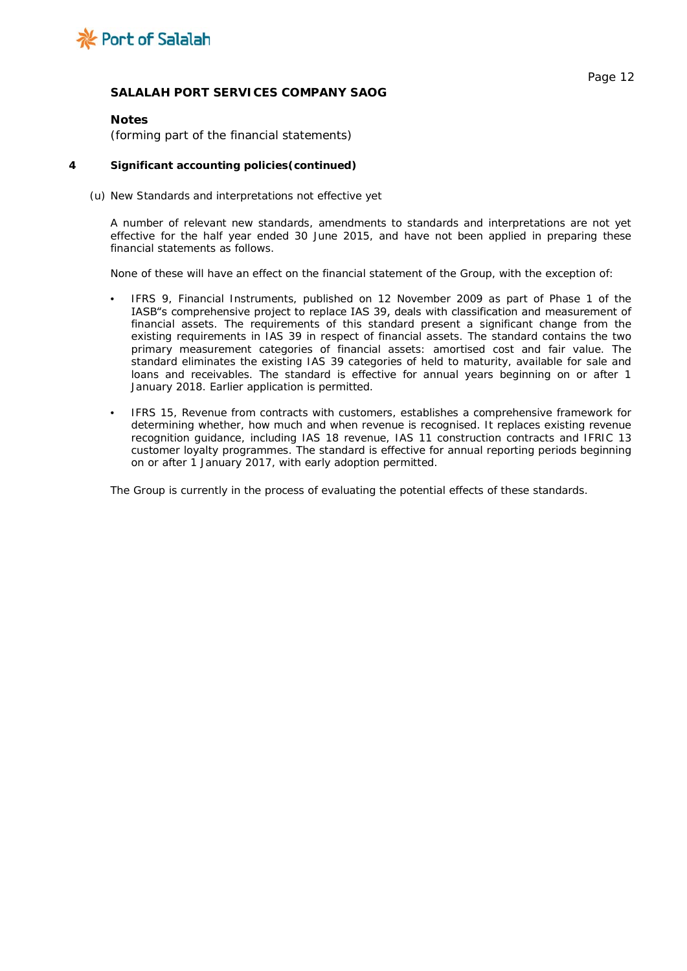

#### **Notes**

*(forming part of the financial statements)*

#### **4 Significant accounting policies***(continued)*

#### *(u) New Standards and interpretations not effective yet*

A number of relevant new standards, amendments to standards and interpretations are not yet effective for the half year ended 30 June 2015, and have not been applied in preparing these financial statements as follows.

None of these will have an effect on the financial statement of the Group, with the exception of:

- IFRS 9, Financial Instruments, published on 12 November 2009 as part of Phase 1 of the IASB"s comprehensive project to replace IAS 39, deals with classification and measurement of financial assets. The requirements of this standard present a significant change from the existing requirements in IAS 39 in respect of financial assets. The standard contains the two primary measurement categories of financial assets: amortised cost and fair value. The standard eliminates the existing IAS 39 categories of held to maturity, available for sale and loans and receivables. The standard is effective for annual years beginning on or after 1 January 2018. Earlier application is permitted.
- IFRS 15, Revenue from contracts with customers, establishes a comprehensive framework for determining whether, how much and when revenue is recognised. It replaces existing revenue recognition guidance, including IAS 18 revenue, IAS 11 construction contracts and IFRIC 13 customer loyalty programmes. The standard is effective for annual reporting periods beginning on or after 1 January 2017, with early adoption permitted.

The Group is currently in the process of evaluating the potential effects of these standards.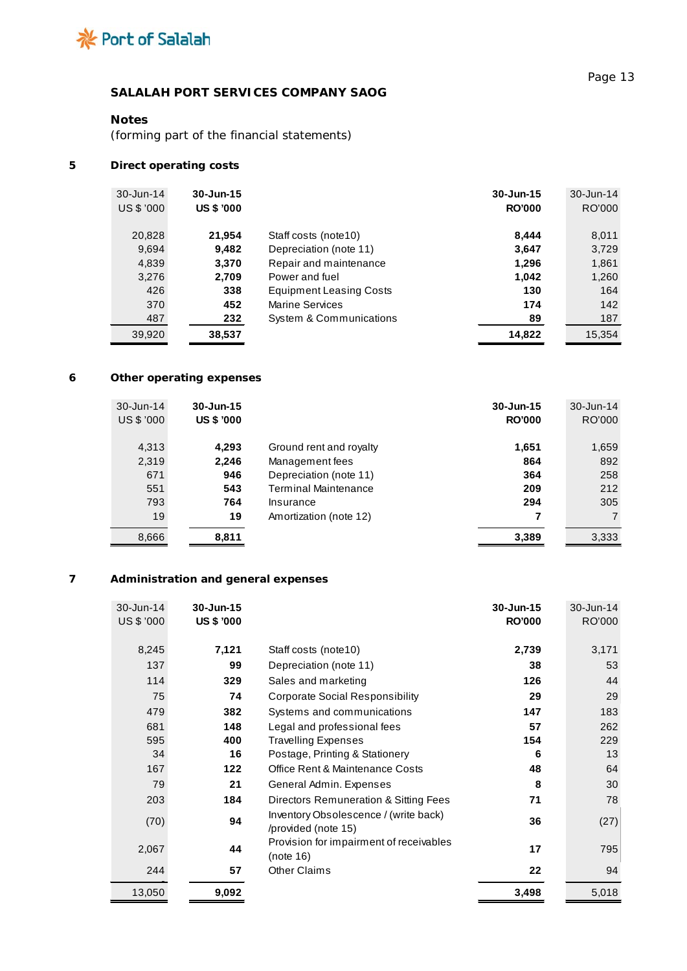

# **Notes**

*(forming part of the financial statements)*

# **5 Direct operating costs**

| $30 - Jun-14$ | 30-Jun-15         |                                | $30 - Jun-15$ | $30 - Jun-14$ |
|---------------|-------------------|--------------------------------|---------------|---------------|
| US \$ '000    | <b>US \$ '000</b> |                                | <b>RO'000</b> | RO'000        |
|               |                   |                                |               |               |
| 20,828        | 21,954            | Staff costs (note 10)          | 8.444         | 8,011         |
| 9,694         | 9,482             | Depreciation (note 11)         | 3,647         | 3,729         |
| 4,839         | 3.370             | Repair and maintenance         | 1,296         | 1,861         |
| 3,276         | 2,709             | Power and fuel                 | 1,042         | 1,260         |
| 426           | 338               | <b>Equipment Leasing Costs</b> | 130           | 164           |
| 370           | 452               | <b>Marine Services</b>         | 174           | 142           |
| 487           | 232               | System & Communications        | 89            | 187           |
| 39,920        | 38,537            |                                | 14,822        | 15,354        |

# **6 Other operating expenses**

| 30-Jun-14<br>US \$ '000 | $30 - Jun-15$<br><b>US \$ '000</b> |                             | 30-Jun-15<br><b>RO'000</b> | 30-Jun-14<br>RO'000 |
|-------------------------|------------------------------------|-----------------------------|----------------------------|---------------------|
| 4,313                   | 4,293                              | Ground rent and royalty     | 1,651                      | 1,659               |
| 2,319                   | 2,246                              | Management fees             | 864                        | 892                 |
| 671                     | 946                                | Depreciation (note 11)      | 364                        | 258                 |
| 551                     | 543                                | <b>Terminal Maintenance</b> | 209                        | 212                 |
| 793                     | 764                                | Insurance                   | 294                        | 305                 |
| 19                      | 19                                 | Amortization (note 12)      | 7                          | $\overline{7}$      |
| 8,666                   | 8,811                              |                             | 3,389                      | 3,333               |

# **7 Administration and general expenses**

| 30-Jun-14  | 30-Jun-15         |                                         | 30-Jun-15     | 30-Jun-14 |
|------------|-------------------|-----------------------------------------|---------------|-----------|
| US \$ '000 | <b>US \$ '000</b> |                                         | <b>RO'000</b> | RO'000    |
|            |                   |                                         |               |           |
| 8,245      | 7,121             | Staff costs (note10)                    | 2,739         | 3,171     |
| 137        | 99                | Depreciation (note 11)                  | 38            | 53        |
| 114        | 329               | Sales and marketing                     | 126           | 44        |
| 75         | 74                | <b>Corporate Social Responsibility</b>  | 29            | 29        |
| 479        | 382               | Systems and communications              | 147           | 183       |
| 681        | 148               | Legal and professional fees             | 57            | 262       |
| 595        | 400               | <b>Travelling Expenses</b>              | 154           | 229       |
| 34         | 16                | Postage, Printing & Stationery          | 6             | 13        |
| 167        | 122               | Office Rent & Maintenance Costs         | 48            | 64        |
| 79         | 21                | General Admin. Expenses                 | 8             | 30        |
| 203        | 184               | Directors Remuneration & Sitting Fees   | 71            | 78        |
| (70)       | 94                | Inventory Obsolescence / (write back)   | 36            | (27)      |
|            |                   | /provided (note 15)                     |               |           |
| 2,067      | 44                | Provision for impairment of receivables | 17            | 795       |
|            |                   | (note 16)                               |               |           |
| 244        | 57                | <b>Other Claims</b>                     | 22            | 94        |
| 13,050     | 9,092             |                                         | 3,498         | 5,018     |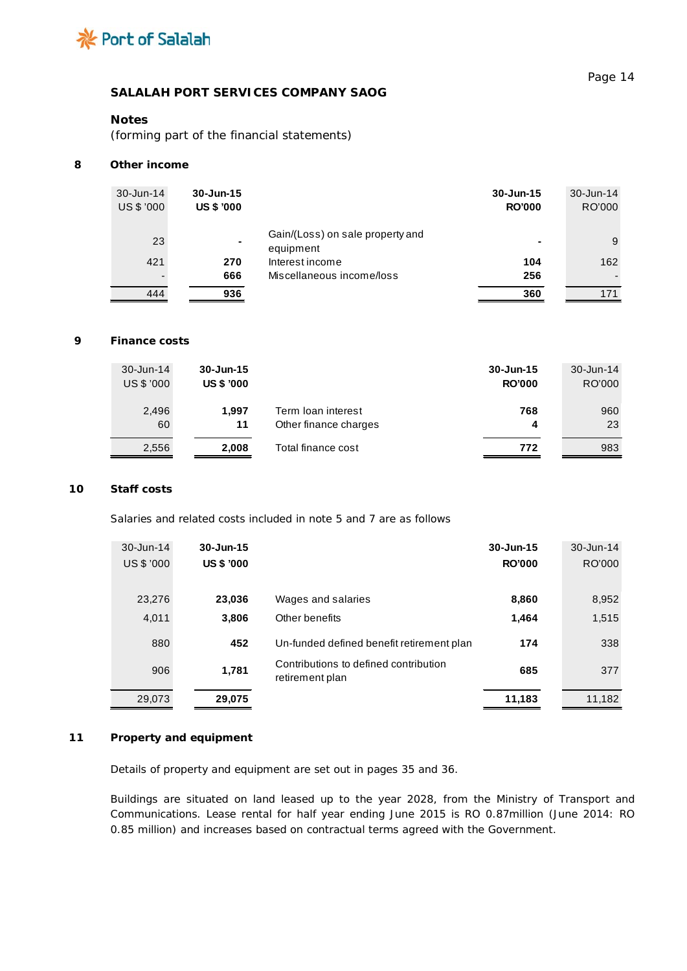

# **Notes**

*(forming part of the financial statements)*

### **8 Other income**

| 30-Jun-14<br>US \$ '000 | $30 - Jun-15$<br><b>US \$ '000</b> |                                               | 30-Jun-15<br><b>RO'000</b> | $30 - Jun-14$<br>RO'000 |
|-------------------------|------------------------------------|-----------------------------------------------|----------------------------|-------------------------|
| 23                      |                                    | Gain/(Loss) on sale property and<br>equipment | $\blacksquare$             | 9                       |
| 421                     | 270                                | Interest income                               | 104                        | 162                     |
|                         | 666                                | Miscellaneous income/loss                     | 256                        |                         |
| 444                     | 936                                |                                               | 360                        | 171                     |

# **9 Finance costs**

| 30-Jun-14  | $30 - Jun-15$     |                       | 30-Jun-15     | 30-Jun-14 |
|------------|-------------------|-----------------------|---------------|-----------|
| US \$ '000 | <b>US \$ '000</b> |                       | <b>RO'000</b> | RO'000    |
| 2,496      | 1.997             | Term loan interest    | 768           | 960       |
| 60         | 11                | Other finance charges | 4             | 23        |
| 2.556      | 2.008             | Total finance cost    | 772           | 983       |

### **10 Staff costs**

Salaries and related costs included in note 5 and 7 are as follows

| $30 - Jun-14$ | $30 - Jun-15$     |                                                          | $30 - Jun-15$ | 30-Jun-14 |
|---------------|-------------------|----------------------------------------------------------|---------------|-----------|
| US \$ '000    | <b>US \$ '000</b> |                                                          | <b>RO'000</b> | RO'000    |
|               |                   |                                                          |               |           |
| 23,276        | 23,036            | Wages and salaries                                       | 8,860         | 8,952     |
| 4,011         | 3,806             | Other benefits                                           | 1,464         | 1,515     |
| 880           | 452               | Un-funded defined benefit retirement plan                | 174           | 338       |
| 906           | 1,781             | Contributions to defined contribution<br>retirement plan | 685           | 377       |
| 29,073        | 29,075            |                                                          | 11,183        | 11,182    |

### **11 Property and equipment**

Details of property and equipment are set out in pages 35 and 36.

Buildings are situated on land leased up to the year 2028, from the Ministry of Transport and Communications. Lease rental for half year ending June 2015 is RO 0.87million (June 2014: RO 0.85 million) and increases based on contractual terms agreed with the Government.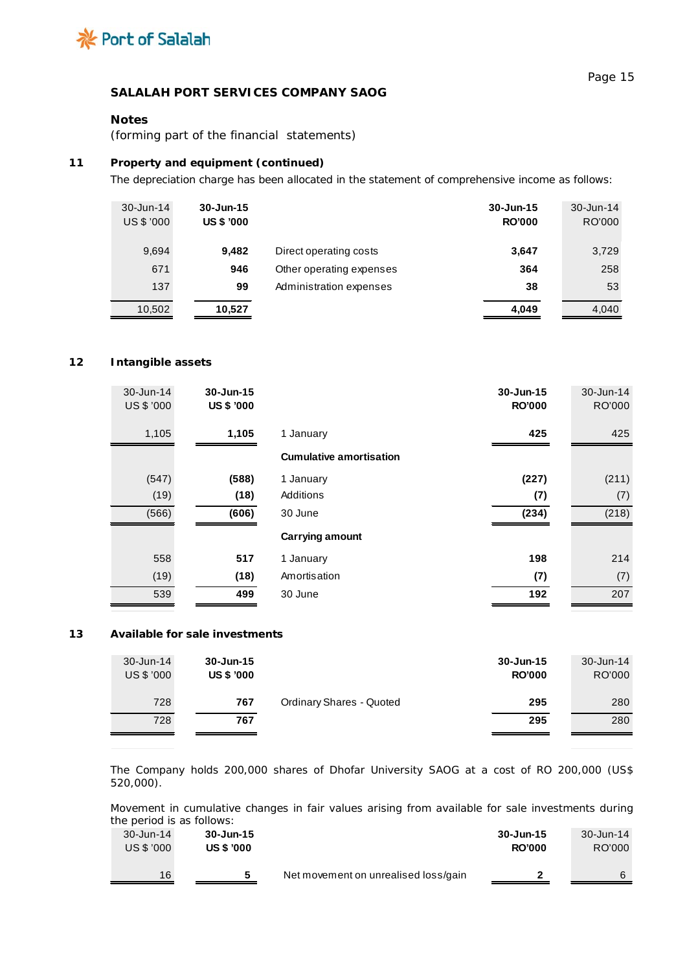

## **Notes**

*(forming part of the financial statements)*

## **11 Property and equipment** *(continued)*

The depreciation charge has been allocated in the statement of comprehensive income as follows:

| $30 - Jun-14$<br>US \$ '000 | $30 - Jun-15$<br><b>US \$ '000</b> |                          | 30-Jun-15<br><b>RO'000</b> | 30-Jun-14<br>RO'000 |
|-----------------------------|------------------------------------|--------------------------|----------------------------|---------------------|
| 9,694                       | 9.482                              | Direct operating costs   | 3,647                      | 3,729               |
| 671                         | 946                                | Other operating expenses | 364                        | 258                 |
| 137                         | 99                                 | Administration expenses  | 38                         | 53                  |
| 10,502                      | 10,527                             |                          | 4,049                      | 4,040               |

### **12 Intangible assets**

| 30-Jun-14<br>US \$ '000 | 30-Jun-15<br><b>US \$ '000</b> |                                | 30-Jun-15<br><b>RO'000</b> | 30-Jun-14<br>RO'000 |
|-------------------------|--------------------------------|--------------------------------|----------------------------|---------------------|
| 1,105                   | 1,105                          | 1 January                      | 425                        | 425                 |
|                         |                                | <b>Cumulative amortisation</b> |                            |                     |
|                         |                                |                                |                            |                     |
| (547)                   | (588)                          | 1 January                      | (227)                      | (211)               |
| (19)                    | (18)                           | Additions                      | (7)                        | (7)                 |
| (566)                   | (606)                          | 30 June                        | (234)                      | (218)               |
|                         |                                | Carrying amount                |                            |                     |
| 558                     | 517                            | 1 January                      | 198                        | 214                 |
| (19)                    | (18)                           | Amortisation                   | (7)                        | (7)                 |
| 539                     | 499                            | 30 June                        | 192                        | 207                 |

## **13 Available for sale investments**

| $30 - Jun-14$<br>US \$ '000 | 30-Jun-15<br><b>US \$ '000</b> |                                 | $30 - Jun-15$<br><b>RO'000</b> | 30-Jun-14<br>RO'000 |
|-----------------------------|--------------------------------|---------------------------------|--------------------------------|---------------------|
| 728                         | 767                            | <b>Ordinary Shares - Quoted</b> | 295                            | 280                 |
| 728                         | 767                            |                                 | 295                            | 280                 |

The Company holds 200,000 shares of Dhofar University SAOG at a cost of RO 200,000 (US\$ 520,000).

Movement in cumulative changes in fair values arising from available for sale investments during the period is as follows:

| $30 - Jun-14$ | 30-Jun-15         |                                      | 30-Jun-15     | 30-Jun-14 |
|---------------|-------------------|--------------------------------------|---------------|-----------|
| US \$ '000    | <b>US \$ '000</b> |                                      | <b>RO'000</b> | RO'000    |
| 16            |                   | Net movement on unrealised loss/gain | 2             | 6         |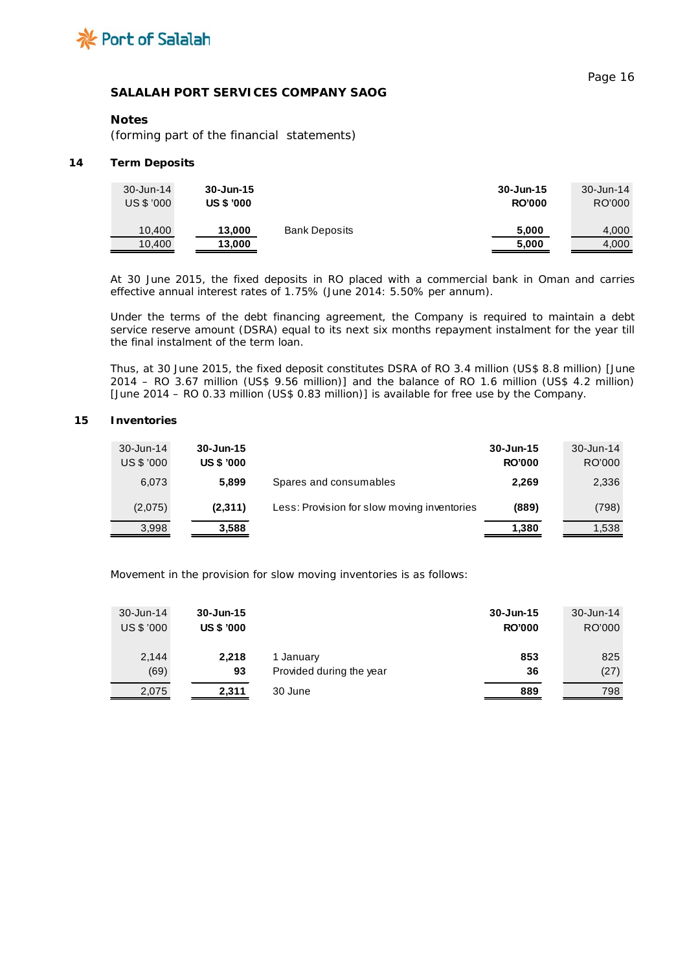

## **Notes**

*(forming part of the financial statements)*

#### **14 Term Deposits**

| $30 - Jun-14$ | 30-Jun-15         |                      | 30-Jun-15     | 30-Jun-14 |
|---------------|-------------------|----------------------|---------------|-----------|
| US \$ '000    | <b>US \$ '000</b> |                      | <b>RO'000</b> | RO'000    |
| 10.400        | 13,000            | <b>Bank Deposits</b> | 5.000         | 4,000     |
| 10,400        | 13,000            |                      | 5,000         | 4,000     |

At 30 June 2015, the fixed deposits in RO placed with a commercial bank in Oman and carries effective annual interest rates of 1.75% (June 2014: 5.50% per annum).

Under the terms of the debt financing agreement, the Company is required to maintain a debt service reserve amount (DSRA) equal to its next six months repayment instalment for the year till the final instalment of the term loan.

Thus, at 30 June 2015, the fixed deposit constitutes DSRA of RO 3.4 million (US\$ 8.8 million) [June 2014 – RO 3.67 million (US\$ 9.56 million)] and the balance of RO 1.6 million (US\$ 4.2 million) [June 2014 – RO 0.33 million (US\$ 0.83 million)] is available for free use by the Company.

#### **15 Inventories**

| 30-Jun-14  | $30 - Jun-15$     |                                             | $30 - Jun-15$ | 30-Jun-14 |
|------------|-------------------|---------------------------------------------|---------------|-----------|
| US \$ '000 | <b>US \$ '000</b> |                                             | <b>RO'000</b> | RO'000    |
| 6,073      | 5.899             | Spares and consumables                      | 2,269         | 2,336     |
| (2,075)    | (2,311)           | Less: Provision for slow moving inventories | (889)         | (798)     |
| 3,998      | 3,588             |                                             | 1,380         | 1.538     |

Movement in the provision for slow moving inventories is as follows:

| 30-Jun-14<br>US \$ '000 | 30-Jun-15<br><b>US \$ '000</b> |                          | 30-Jun-15<br><b>RO'000</b> | 30-Jun-14<br>RO'000 |
|-------------------------|--------------------------------|--------------------------|----------------------------|---------------------|
| 2,144                   | 2.218                          | 1 January                | 853                        | 825                 |
| (69)                    | 93                             | Provided during the year | 36                         | (27)                |
| 2,075                   | 2.311                          | 30 June                  | 889                        | 798                 |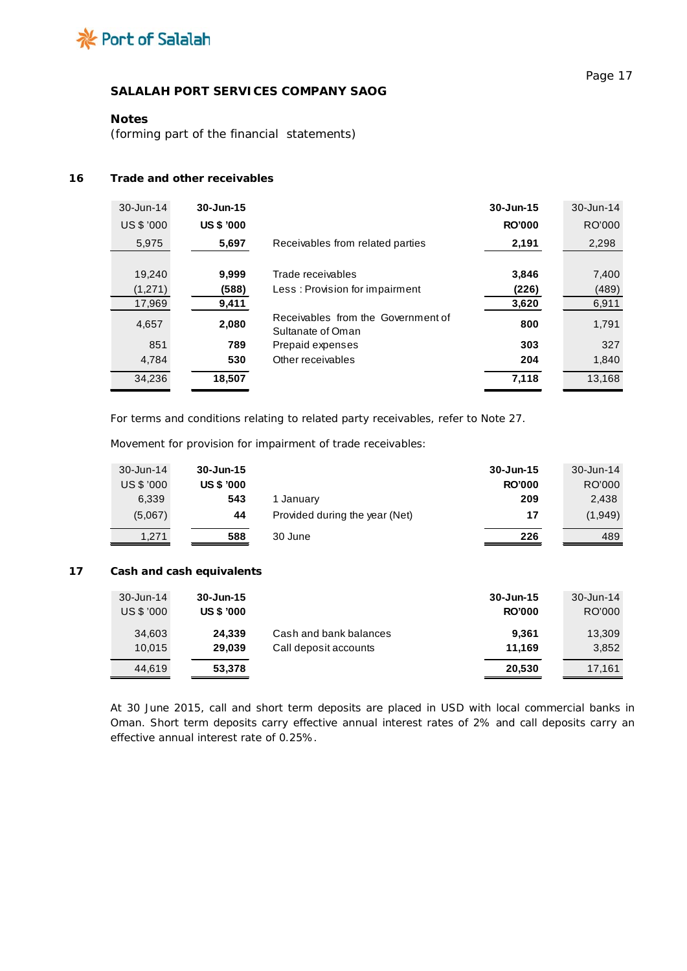

## **Notes**

*(forming part of the financial statements)*

#### **16 Trade and other receivables**

| 30-Jun-14  | $30 - Jun-15$     |                                                         | 30-Jun-15     | 30-Jun-14 |
|------------|-------------------|---------------------------------------------------------|---------------|-----------|
| US \$ '000 | <b>US \$ '000</b> |                                                         | <b>RO'000</b> | RO'000    |
| 5,975      | 5,697             | Receivables from related parties                        | 2,191         | 2,298     |
|            |                   |                                                         |               |           |
| 19,240     | 9.999             | Trade receivables                                       | 3,846         | 7,400     |
| (1,271)    | (588)             | Less: Provision for impairment                          | (226)         | (489)     |
| 17,969     | 9,411             |                                                         | 3,620         | 6,911     |
| 4,657      | 2,080             | Receivables from the Government of<br>Sultanate of Oman | 800           | 1,791     |
| 851        | 789               | Prepaid expenses                                        | 303           | 327       |
| 4,784      | 530               | Other receivables                                       | 204           | 1,840     |
| 34,236     | 18,507            |                                                         | 7,118         | 13,168    |

For terms and conditions relating to related party receivables, refer to Note 27.

Movement for provision for impairment of trade receivables:

| 30-Jun-14  | $30 - Jun-15$     |                                | 30-Jun-15     | 30-Jun-14 |
|------------|-------------------|--------------------------------|---------------|-----------|
| US \$ '000 | <b>US \$ '000</b> |                                | <b>RO'000</b> | RO'000    |
| 6.339      | 543               | 1 Januarv                      | 209           | 2.438     |
| (5.067)    | 44                | Provided during the year (Net) | 17            | (1,949)   |
| 1,271      | 588               | 30 June                        | 226           | 489       |

## **17 Cash and cash equivalents**

| 30-Jun-14  | $30 - Jun-15$     |                        | 30-Jun-15     | 30-Jun-14 |
|------------|-------------------|------------------------|---------------|-----------|
| US \$ '000 | <b>US \$ '000</b> |                        | <b>RO'000</b> | RO'000    |
| 34,603     | 24.339            | Cash and bank balances | 9.361         | 13,309    |
| 10.015     | 29.039            | Call deposit accounts  | 11.169        | 3,852     |
| 44.619     | 53,378            |                        | 20,530        | 17.161    |

At 30 June 2015, call and short term deposits are placed in USD with local commercial banks in Oman. Short term deposits carry effective annual interest rates of 2% and call deposits carry an effective annual interest rate of 0.25%.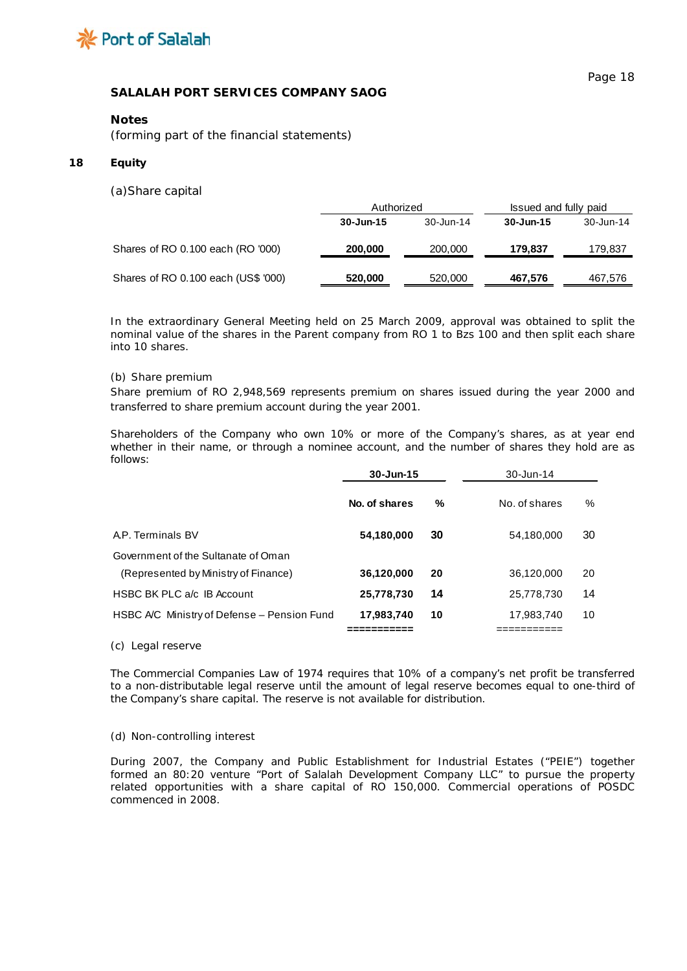

#### **Notes**

*(forming part of the financial statements)*

#### **18 Equity**

(a)*Share capital*

|                                     | Authorized    |           | Issued and fully paid |           |
|-------------------------------------|---------------|-----------|-----------------------|-----------|
|                                     | $30 - Jun-15$ | 30-Jun-14 | 30-Jun-15             | 30-Jun-14 |
| Shares of RO 0.100 each (RO '000)   | 200,000       | 200,000   | 179,837               | 179,837   |
| Shares of RO 0.100 each (US\$ '000) | 520,000       | 520,000   | 467,576               | 467,576   |

In the extraordinary General Meeting held on 25 March 2009, approval was obtained to split the nominal value of the shares in the Parent company from RO 1 to Bzs 100 and then split each share into 10 shares.

#### *(b) Share premium*

Share premium of RO 2,948,569 represents premium on shares issued during the year 2000 and transferred to share premium account during the year 2001.

Shareholders of the Company who own 10% or more of the Company's shares, as at year end whether in their name, or through a nominee account, and the number of shares they hold are as follows:

|                                                                             | 30-Jun-15     |    | 30-Jun-14     |      |
|-----------------------------------------------------------------------------|---------------|----|---------------|------|
|                                                                             | No. of shares | %  | No. of shares | $\%$ |
| A.P. Terminals BV                                                           | 54,180,000    | 30 | 54,180,000    | 30   |
| Government of the Sultanate of Oman<br>(Represented by Ministry of Finance) | 36,120,000    | 20 | 36,120,000    | 20   |
| HSBC BK PLC a/c IB Account                                                  | 25,778,730    | 14 | 25,778,730    | 14   |
| HSBC A/C Ministry of Defense - Pension Fund                                 | 17,983,740    | 10 | 17,983,740    | 10   |
|                                                                             |               |    |               |      |

*(c) Legal reserve*

The Commercial Companies Law of 1974 requires that 10% of a company's net profit be transferred to a non-distributable legal reserve until the amount of legal reserve becomes equal to one-third of the Company's share capital. The reserve is not available for distribution.

#### *(d) Non-controlling interest*

During 2007, the Company and Public Establishment for Industrial Estates ("PEIE") together formed an 80:20 venture "Port of Salalah Development Company LLC" to pursue the property related opportunities with a share capital of RO 150,000. Commercial operations of POSDC commenced in 2008.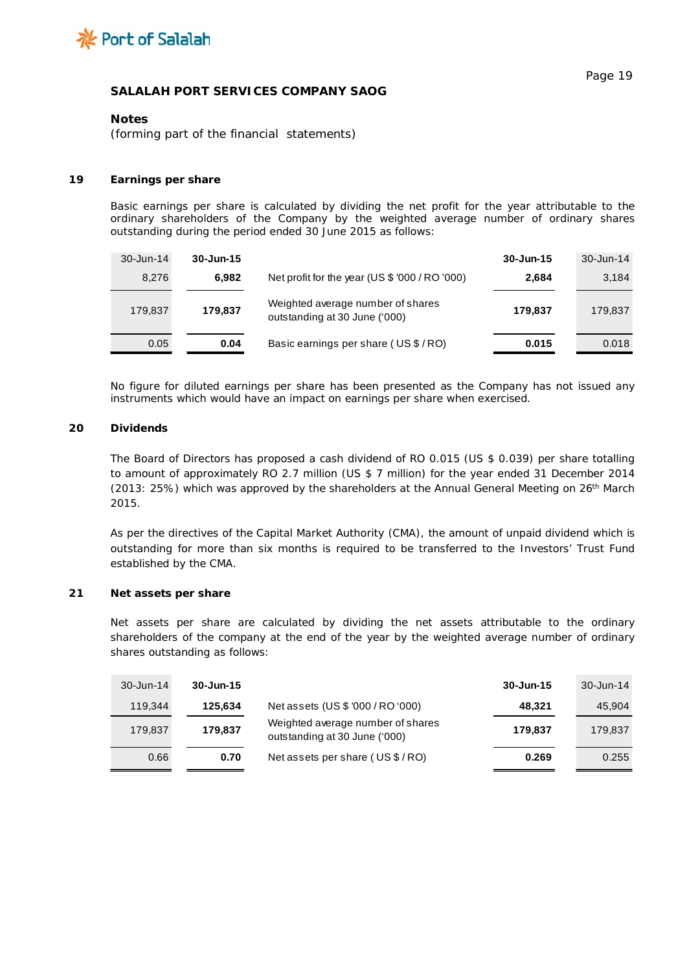

### **Notes**

*(forming part of the financial statements)*

## **19 Earnings per share**

Basic earnings per share is calculated by dividing the net profit for the year attributable to the ordinary shareholders of the Company by the weighted average number of ordinary shares outstanding during the period ended 30 June 2015 as follows:

| 30-Jun-14 | $30 - Jun-15$ |                                                                    | 30-Jun-15 | 30-Jun-14 |
|-----------|---------------|--------------------------------------------------------------------|-----------|-----------|
| 8.276     | 6.982         | Net profit for the year (US $$$ '000 / RO '000)                    | 2,684     | 3,184     |
| 179,837   | 179,837       | Weighted average number of shares<br>outstanding at 30 June ('000) | 179,837   | 179,837   |
| 0.05      | 0.04          | Basic earnings per share (US \$/RO)                                | 0.015     | 0.018     |

No figure for diluted earnings per share has been presented as the Company has not issued any instruments which would have an impact on earnings per share when exercised.

## **20 Dividends**

The Board of Directors has proposed a cash dividend of RO 0.015 (US \$ 0.039) per share totalling to amount of approximately RO 2.7 million (US \$ 7 million) for the year ended 31 December 2014 (2013: 25%) which was approved by the shareholders at the Annual General Meeting on 26<sup>th</sup> March 2015.

As per the directives of the Capital Market Authority (CMA), the amount of unpaid dividend which is outstanding for more than six months is required to be transferred to the Investors' Trust Fund established by the CMA.

### **21 Net assets per share**

Net assets per share are calculated by dividing the net assets attributable to the ordinary shareholders of the company at the end of the year by the weighted average number of ordinary shares outstanding as follows:

| 30-Jun-14 | $30 - Jun-15$ |                                                                    | 30-Jun-15 | 30-Jun-14 |
|-----------|---------------|--------------------------------------------------------------------|-----------|-----------|
| 119.344   | 125.634       | Net assets (US \$ '000 / RO '000)                                  | 48.321    | 45,904    |
| 179.837   | 179,837       | Weighted average number of shares<br>outstanding at 30 June ('000) | 179.837   | 179.837   |
| 0.66      | 0.70          | Net assets per share (US \$/RO)                                    | 0.269     | 0.255     |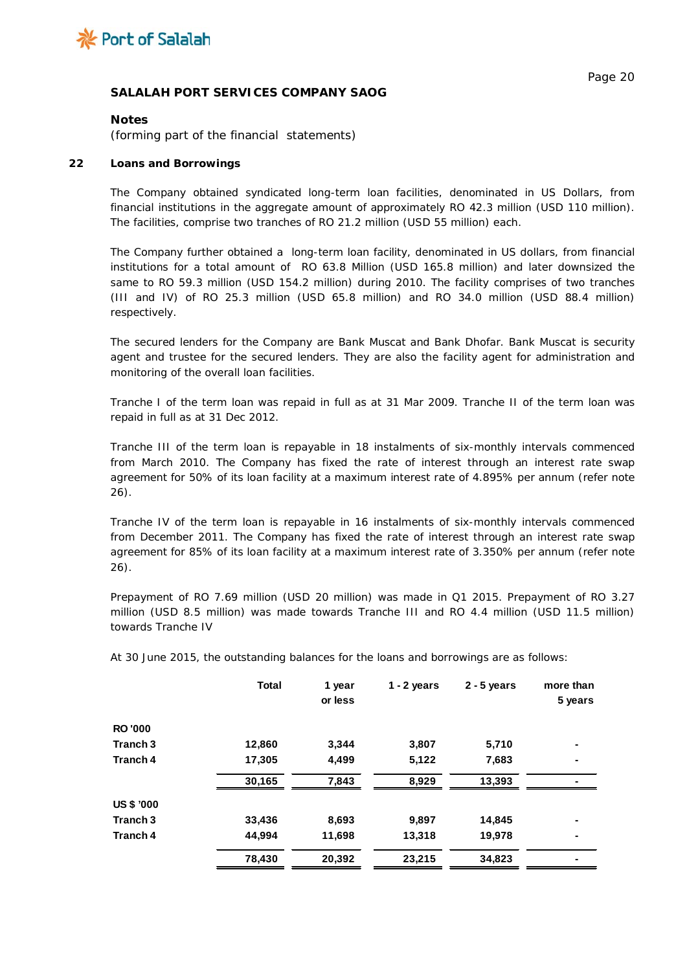

### **Notes**

*(forming part of the financial statements)*

### **22 Loans and Borrowings**

The Company obtained syndicated long-term loan facilities, denominated in US Dollars, from financial institutions in the aggregate amount of approximately RO 42.3 million (USD 110 million). The facilities, comprise two tranches of RO 21.2 million (USD 55 million) each.

The Company further obtained a long-term loan facility, denominated in US dollars, from financial institutions for a total amount of RO 63.8 Million (USD 165.8 million) and later downsized the same to RO 59.3 million (USD 154.2 million) during 2010. The facility comprises of two tranches (III and IV) of RO 25.3 million (USD 65.8 million) and RO 34.0 million (USD 88.4 million) respectively.

The secured lenders for the Company are Bank Muscat and Bank Dhofar. Bank Muscat is security agent and trustee for the secured lenders. They are also the facility agent for administration and monitoring of the overall loan facilities.

Tranche I of the term loan was repaid in full as at 31 Mar 2009. Tranche II of the term loan was repaid in full as at 31 Dec 2012.

Tranche III of the term loan is repayable in 18 instalments of six-monthly intervals commenced from March 2010. The Company has fixed the rate of interest through an interest rate swap agreement for 50% of its loan facility at a maximum interest rate of 4.895% per annum (refer note 26).

Tranche IV of the term loan is repayable in 16 instalments of six-monthly intervals commenced from December 2011. The Company has fixed the rate of interest through an interest rate swap agreement for 85% of its loan facility at a maximum interest rate of 3.350% per annum (refer note 26).

Prepayment of RO 7.69 million (USD 20 million) was made in Q1 2015. Prepayment of RO 3.27 million (USD 8.5 million) was made towards Tranche III and RO 4.4 million (USD 11.5 million) towards Tranche IV

|                     | <b>Total</b> | 1 year<br>or less | $1 - 2$ years | $2 - 5$ years | more than<br>5 years |
|---------------------|--------------|-------------------|---------------|---------------|----------------------|
| <b>RO'000</b>       |              |                   |               |               |                      |
| Tranch <sub>3</sub> | 12,860       | 3,344             | 3,807         | 5,710         |                      |
| Tranch 4            | 17,305       | 4,499             | 5,122         | 7,683         | $\blacksquare$       |
|                     | 30,165       | 7,843             | 8,929         | 13,393        |                      |
| <b>US \$ '000</b>   |              |                   |               |               |                      |
| Tranch <sub>3</sub> | 33,436       | 8,693             | 9,897         | 14,845        | $\blacksquare$       |
| Tranch 4            | 44,994       | 11,698            | 13,318        | 19,978        | $\blacksquare$       |
|                     | 78,430       | 20,392            | 23,215        | 34,823        |                      |

At 30 June 2015, the outstanding balances for the loans and borrowings are as follows: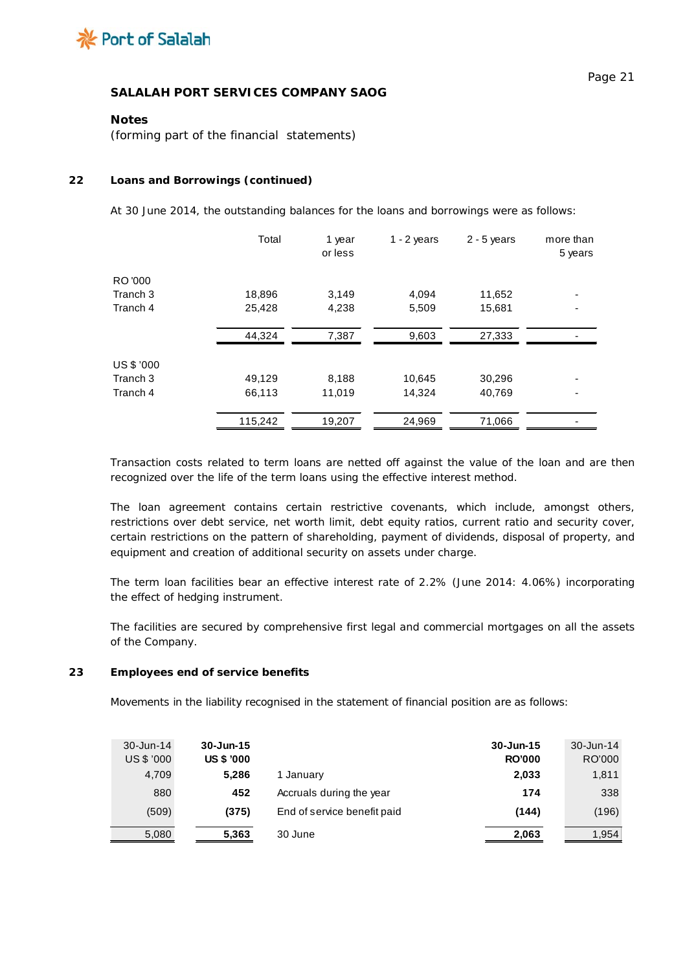

## **Notes**

*(forming part of the financial statements)*

### **22 Loans and Borrowings** *(continued)*

At 30 June 2014, the outstanding balances for the loans and borrowings were as follows:

|            | Total   | 1 year<br>or less | $1 - 2$ years | $2 - 5$ years | more than<br>5 years |
|------------|---------|-------------------|---------------|---------------|----------------------|
| RO '000    |         |                   |               |               |                      |
| Tranch 3   | 18,896  | 3,149             | 4,094         | 11,652        |                      |
| Tranch 4   | 25,428  | 4,238             | 5,509         | 15,681        |                      |
|            | 44,324  | 7,387             | 9,603         | 27,333        |                      |
| US \$ '000 |         |                   |               |               |                      |
| Tranch 3   | 49,129  | 8,188             | 10,645        | 30,296        |                      |
| Tranch 4   | 66,113  | 11,019            | 14,324        | 40,769        |                      |
|            | 115,242 | 19,207            | 24,969        | 71,066        |                      |

Transaction costs related to term loans are netted off against the value of the loan and are then recognized over the life of the term loans using the effective interest method.

The loan agreement contains certain restrictive covenants, which include, amongst others, restrictions over debt service, net worth limit, debt equity ratios, current ratio and security cover, certain restrictions on the pattern of shareholding, payment of dividends, disposal of property, and equipment and creation of additional security on assets under charge.

The term loan facilities bear an effective interest rate of 2.2% (June 2014: 4.06%) incorporating the effect of hedging instrument.

The facilities are secured by comprehensive first legal and commercial mortgages on all the assets of the Company.

## **23 Employees end of service benefits**

Movements in the liability recognised in the statement of financial position are as follows:

| 30-Jun-14  | 30-Jun-15         |                             | 30-Jun-15     | $30 - Jun-14$ |
|------------|-------------------|-----------------------------|---------------|---------------|
| US \$ '000 | <b>US \$ '000</b> |                             | <b>RO'000</b> | RO'000        |
| 4.709      | 5.286             | 1 January                   | 2,033         | 1,811         |
| 880        | 452               | Accruals during the year    | 174           | 338           |
| (509)      | (375)             | End of service benefit paid | (144)         | (196)         |
| 5,080      | 5,363             | 30 June                     | 2,063         | 1,954         |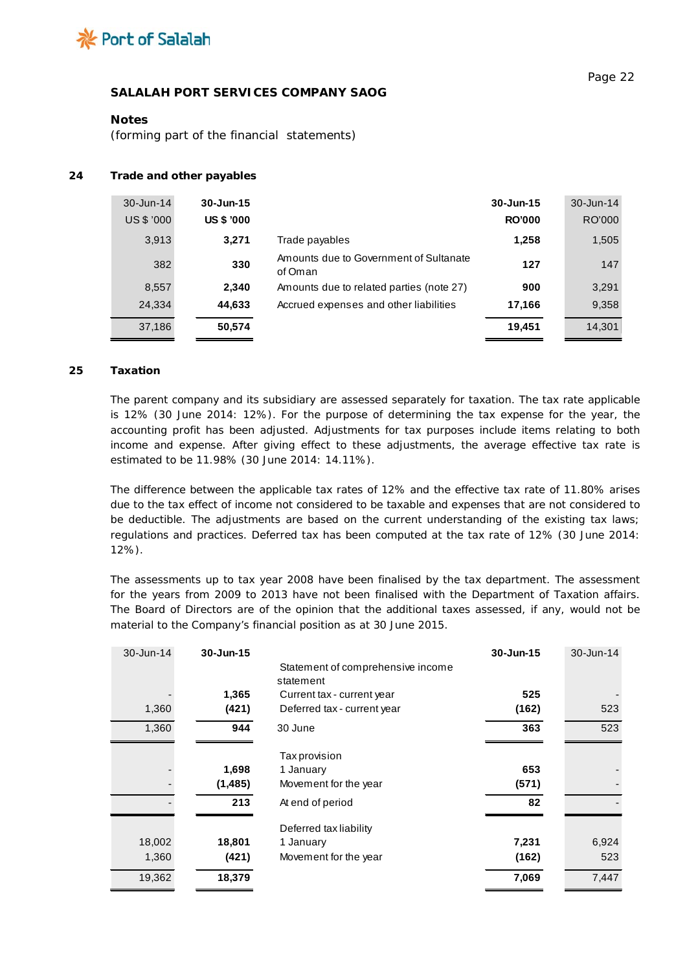

### **Notes**

*(forming part of the financial statements)*

### **24 Trade and other payables**

| 30-Jun-14  | 30-Jun-15         |                                                   | 30-Jun-15     | 30-Jun-14 |
|------------|-------------------|---------------------------------------------------|---------------|-----------|
| US \$ '000 | <b>US \$ '000</b> |                                                   | <b>RO'000</b> | RO'000    |
| 3,913      | 3,271             | Trade payables                                    | 1,258         | 1,505     |
| 382        | 330               | Amounts due to Government of Sultanate<br>of Oman | 127           | 147       |
| 8,557      | 2,340             | Amounts due to related parties (note 27)          | 900           | 3,291     |
| 24,334     | 44,633            | Accrued expenses and other liabilities            | 17,166        | 9.358     |
| 37,186     | 50,574            |                                                   | 19,451        | 14,301    |

## **25 Taxation**

The parent company and its subsidiary are assessed separately for taxation. The tax rate applicable is 12% (30 June 2014: 12%). For the purpose of determining the tax expense for the year, the accounting profit has been adjusted. Adjustments for tax purposes include items relating to both income and expense. After giving effect to these adjustments, the average effective tax rate is estimated to be 11.98% (30 June 2014: 14.11%).

The difference between the applicable tax rates of 12% and the effective tax rate of 11.80% arises due to the tax effect of income not considered to be taxable and expenses that are not considered to be deductible. The adjustments are based on the current understanding of the existing tax laws; regulations and practices. Deferred tax has been computed at the tax rate of 12% (30 June 2014: 12%).

The assessments up to tax year 2008 have been finalised by the tax department. The assessment for the years from 2009 to 2013 have not been finalised with the Department of Taxation affairs. The Board of Directors are of the opinion that the additional taxes assessed, if any, would not be material to the Company's financial position as at 30 June 2015.

| 30-Jun-14 | 30-Jun-15 | Statement of comprehensive income<br>statement | 30-Jun-15 | 30-Jun-14 |
|-----------|-----------|------------------------------------------------|-----------|-----------|
|           | 1,365     | Current tax - current year                     | 525       |           |
| 1,360     | (421)     | Deferred tax - current year                    | (162)     | 523       |
| 1,360     | 944       | 30 June                                        | 363       | 523       |
|           |           | <b>Taxprovision</b>                            |           |           |
|           | 1,698     | 1 January                                      | 653       |           |
|           | (1, 485)  | Movement for the year                          | (571)     |           |
|           | 213       | At end of period                               | 82        |           |
|           |           | Deferred tax liability                         |           |           |
| 18,002    | 18,801    | 1 January                                      | 7,231     | 6,924     |
| 1,360     | (421)     | Movement for the year                          | (162)     | 523       |
| 19,362    | 18,379    |                                                | 7,069     | 7,447     |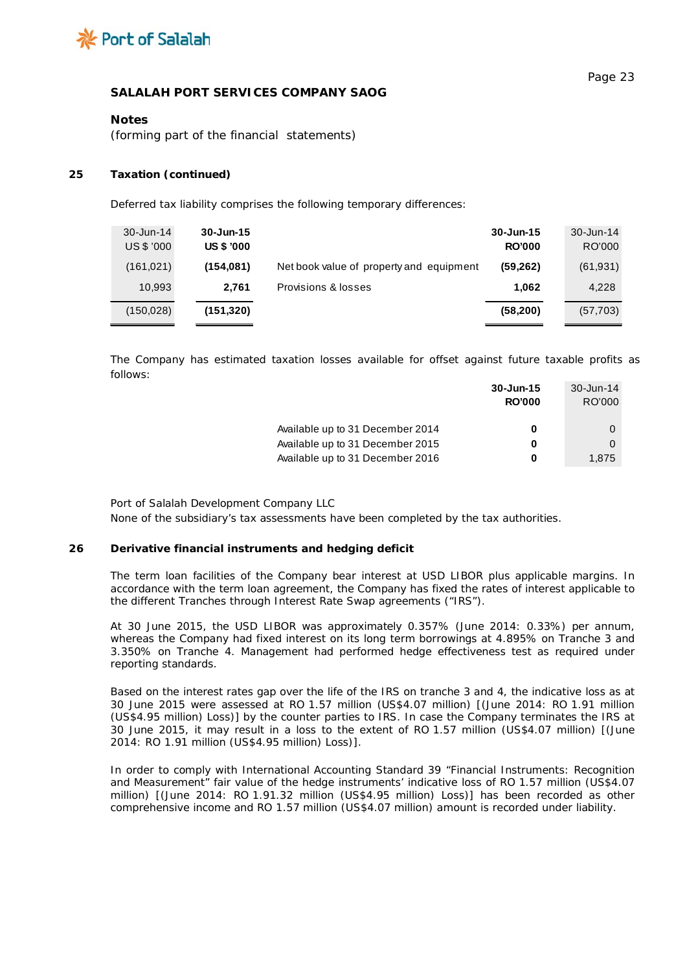

### **Notes**

*(forming part of the financial statements)*

#### **25 Taxation (continued)**

Deferred tax liability comprises the following temporary differences:

| $30 - Jun-14$<br>US \$ '000 | $30 - Jun-15$<br><b>US \$ '000</b> |                                          | 30-Jun-15<br><b>RO'000</b> | 30-Jun-14<br>RO'000 |
|-----------------------------|------------------------------------|------------------------------------------|----------------------------|---------------------|
| (161, 021)                  | (154, 081)                         | Net book value of property and equipment | (59, 262)                  | (61, 931)           |
| 10,993                      | 2.761                              | Provisions & losses                      | 1.062                      | 4,228               |
| (150, 028)                  | (151, 320)                         |                                          | (58, 200)                  | (57,703)            |

The Company has estimated taxation losses available for offset against future taxable profits as follows:

|                                  | 30-Jun-15     | 30-Jun-14 |
|----------------------------------|---------------|-----------|
|                                  | <b>RO'000</b> | RO'000    |
|                                  |               |           |
| Available up to 31 December 2014 | 0             |           |
| Available up to 31 December 2015 | 0             |           |
| Available up to 31 December 2016 | 0             | 1.875     |

Port of Salalah Development Company LLC

None of the subsidiary's tax assessments have been completed by the tax authorities.

#### **26 Derivative financial instruments and hedging deficit**

The term loan facilities of the Company bear interest at USD LIBOR plus applicable margins. In accordance with the term loan agreement, the Company has fixed the rates of interest applicable to the different Tranches through Interest Rate Swap agreements ("IRS").

At 30 June 2015, the USD LIBOR was approximately 0.357% (June 2014: 0.33%) per annum, whereas the Company had fixed interest on its long term borrowings at 4.895% on Tranche 3 and 3.350% on Tranche 4. Management had performed hedge effectiveness test as required under reporting standards.

Based on the interest rates gap over the life of the IRS on tranche 3 and 4, the indicative loss as at 30 June 2015 were assessed at RO 1.57 million (US\$4.07 million) [(June 2014: RO 1.91 million (US\$4.95 million) Loss)] by the counter parties to IRS. In case the Company terminates the IRS at 30 June 2015, it may result in a loss to the extent of RO 1.57 million (US\$4.07 million) [(June 2014: RO 1.91 million (US\$4.95 million) Loss)].

In order to comply with International Accounting Standard 39 "Financial Instruments: Recognition and Measurement" fair value of the hedge instruments' indicative loss of RO 1.57 million (US\$4.07 million) [(June 2014: RO 1.91.32 million (US\$4.95 million) Loss)] has been recorded as other comprehensive income and RO 1.57 million (US\$4.07 million) amount is recorded under liability.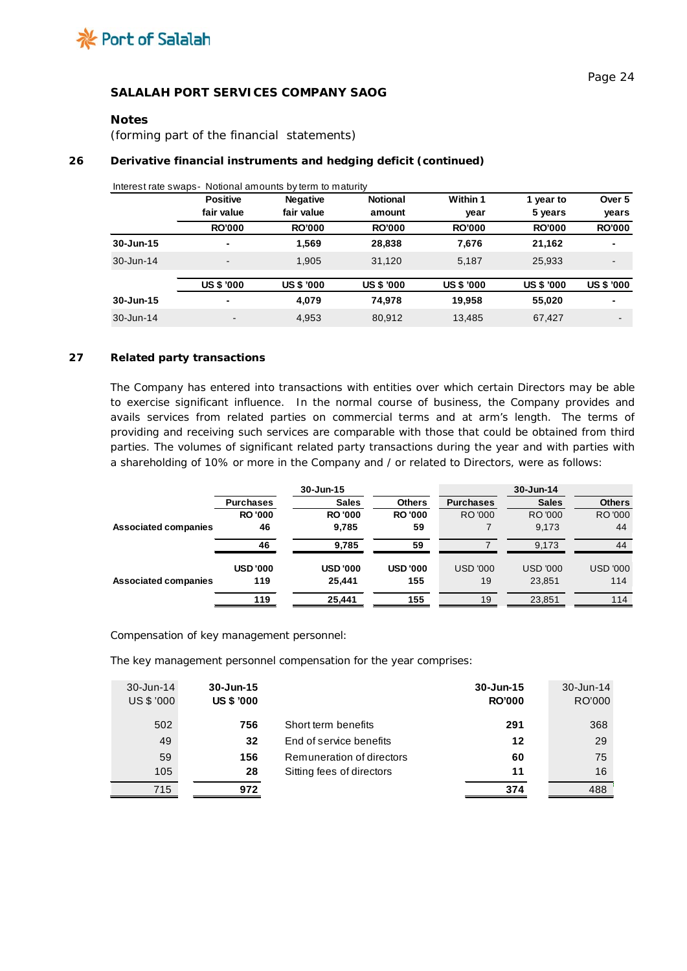

## **Notes**

*(forming part of the financial statements)*

# **26 Derivative financial instruments and hedging deficit (continued)**

|           | <b>Positive</b><br>fair value | <b>Negative</b><br>fair value | <b>Notional</b><br>amount | Within 1              | 1 year to                | Over 5                 |
|-----------|-------------------------------|-------------------------------|---------------------------|-----------------------|--------------------------|------------------------|
|           | <b>RO'000</b>                 | <b>RO'000</b>                 | <b>RO'000</b>             | year<br><b>RO'000</b> | 5 years<br><b>RO'000</b> | years<br><b>RO'000</b> |
| 30-Jun-15 | ٠                             | 1,569                         | 28,838                    | 7.676                 | 21,162                   | ٠                      |
| 30-Jun-14 | $\blacksquare$                | 1,905                         | 31,120                    | 5,187                 | 25,933                   | -                      |
|           | <b>US \$ '000</b>             | <b>US \$ '000</b>             | <b>US \$ '000</b>         | <b>US \$ '000</b>     | <b>US \$ '000</b>        | <b>US \$ '000</b>      |
| 30-Jun-15 | ٠                             | 4,079                         | 74.978                    | 19.958                | 55,020                   |                        |
| 30-Jun-14 |                               | 4,953                         | 80.912                    | 13.485                | 67,427                   | -                      |

Interest rate swaps- Notional amounts by term to maturity

### **27 Related party transactions**

The Company has entered into transactions with entities over which certain Directors may be able to exercise significant influence. In the normal course of business, the Company provides and avails services from related parties on commercial terms and at arm's length. The terms of providing and receiving such services are comparable with those that could be obtained from third parties. The volumes of significant related party transactions during the year and with parties with a shareholding of 10% or more in the Company and / or related to Directors, were as follows:

|                             |                  | 30-Jun-15      |                |                  | 30-Jun-14       |                 |
|-----------------------------|------------------|----------------|----------------|------------------|-----------------|-----------------|
|                             | <b>Purchases</b> | <b>Sales</b>   | <b>Others</b>  | <b>Purchases</b> | <b>Sales</b>    | <b>Others</b>   |
|                             | <b>RO'000</b>    | <b>RO'000</b>  | <b>RO'000</b>  | RO '000          | RO '000         | RO '000         |
| <b>Associated companies</b> | 46               | 9,785          | 59             |                  | 9,173           | 44              |
|                             | 46               | 9,785          | 59             |                  | 9,173           | 44              |
|                             | <b>USD'000</b>   | <b>USD'000</b> | <b>USD'000</b> | <b>USD '000</b>  | <b>USD '000</b> | <b>USD '000</b> |
| <b>Associated companies</b> | 119              | 25.441         | 155            | 19               | 23.851          | 114             |
|                             | 119              | 25,441         | 155            | 19               | 23,851          | 114             |

Compensation of key management personnel:

The key management personnel compensation for the year comprises:

| 30-Jun-14<br>US \$ '000 | 30-Jun-15<br><b>US \$ '000</b> |                           | 30-Jun-15<br><b>RO'000</b> | 30-Jun-14<br>RO'000 |
|-------------------------|--------------------------------|---------------------------|----------------------------|---------------------|
| 502                     | 756                            | Short term benefits       | 291                        | 368                 |
| 49                      | 32                             | End of service benefits   | 12                         | 29                  |
| 59                      | 156                            | Remuneration of directors | 60                         | 75                  |
| 105                     | 28                             | Sitting fees of directors | 11                         | 16                  |
| 715                     | 972                            |                           | 374                        | 488                 |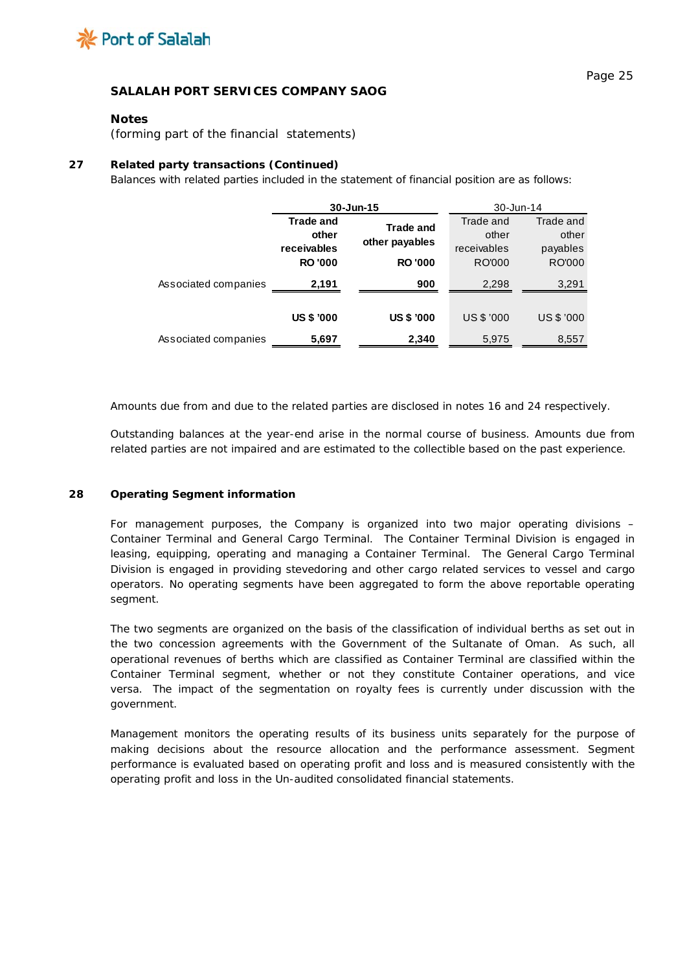

## **Notes**

*(forming part of the financial statements)*

### **27 Related party transactions (Continued)**

Balances with related parties included in the statement of financial position are as follows:

|                      | $30 - Jun-15$     |                   | 30-Jun-14         |               |  |
|----------------------|-------------------|-------------------|-------------------|---------------|--|
|                      | <b>Trade and</b>  | <b>Trade and</b>  | Trade and         | Trade and     |  |
|                      | other             | other payables    | other             | other         |  |
|                      | receivables       |                   | receivables       | payables      |  |
|                      | <b>RO'000</b>     | <b>RO'000</b>     | <b>RO'000</b>     | <b>RO'000</b> |  |
| Associated companies | 2,191             | 900               | 2,298             | 3,291         |  |
|                      |                   |                   |                   |               |  |
|                      | <b>US \$ '000</b> | <b>US \$ '000</b> | <b>US \$ '000</b> | US \$ '000    |  |
| Associated companies | 5,697             | 2,340             | 5,975             | 8,557         |  |

Amounts due from and due to the related parties are disclosed in notes 16 and 24 respectively.

Outstanding balances at the year-end arise in the normal course of business. Amounts due from related parties are not impaired and are estimated to the collectible based on the past experience.

#### **28 Operating Segment information**

For management purposes, the Company is organized into two major operating divisions – Container Terminal and General Cargo Terminal. The Container Terminal Division is engaged in leasing, equipping, operating and managing a Container Terminal. The General Cargo Terminal Division is engaged in providing stevedoring and other cargo related services to vessel and cargo operators. No operating segments have been aggregated to form the above reportable operating segment.

The two segments are organized on the basis of the classification of individual berths as set out in the two concession agreements with the Government of the Sultanate of Oman. As such, all operational revenues of berths which are classified as Container Terminal are classified within the Container Terminal segment, whether or not they constitute Container operations, and vice versa. The impact of the segmentation on royalty fees is currently under discussion with the government.

Management monitors the operating results of its business units separately for the purpose of making decisions about the resource allocation and the performance assessment. Segment performance is evaluated based on operating profit and loss and is measured consistently with the operating profit and loss in the Un-audited consolidated financial statements.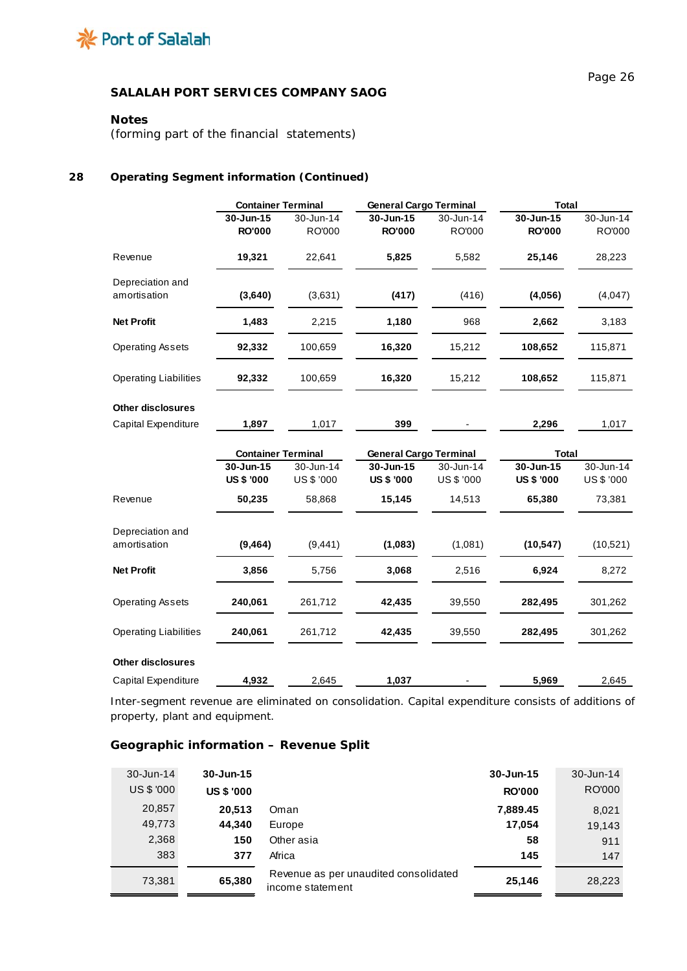

## **Notes**

*(forming part of the financial statements)*

## **28 Operating Segment information (Continued)**

|                                  | <b>Container Terminal</b> |            | <b>General Cargo Terminal</b> |            | <b>Total</b>      |            |  |
|----------------------------------|---------------------------|------------|-------------------------------|------------|-------------------|------------|--|
|                                  | 30-Jun-15                 | 30-Jun-14  | 30-Jun-15                     | 30-Jun-14  | 30-Jun-15         | 30-Jun-14  |  |
|                                  | <b>RO'000</b>             | RO'000     | <b>RO'000</b>                 | RO'000     | <b>RO'000</b>     | RO'000     |  |
| Revenue                          | 19,321                    | 22,641     | 5,825                         | 5,582      | 25,146            | 28,223     |  |
| Depreciation and<br>amortisation | (3,640)                   | (3,631)    | (417)                         | (416)      | (4,056)           | (4,047)    |  |
| <b>Net Profit</b>                | 1,483                     | 2,215      | 1,180                         | 968        | 2,662             | 3,183      |  |
| <b>Operating Assets</b>          | 92,332                    | 100,659    | 16,320                        | 15,212     | 108,652           | 115,871    |  |
| <b>Operating Liabilities</b>     | 92,332                    | 100,659    | 16,320                        | 15,212     | 108,652           | 115,871    |  |
| <b>Other disclosures</b>         |                           |            |                               |            |                   |            |  |
| Capital Expenditure              | 1,897                     | 1,017      | 399                           |            | 2,296             | 1,017      |  |
|                                  | <b>Container Terminal</b> |            | <b>General Cargo Terminal</b> |            | <b>Total</b>      |            |  |
|                                  | 30-Jun-15                 | 30-Jun-14  | 30-Jun-15                     | 30-Jun-14  | 30-Jun-15         | 30-Jun-14  |  |
|                                  | <b>US \$ '000</b>         | US \$ '000 | <b>US \$ '000</b>             | US \$ '000 | <b>US \$ '000</b> | US \$ '000 |  |
| Revenue                          | 50,235                    | 58,868     | 15,145                        | 14,513     | 65,380            | 73,381     |  |
| Depreciation and                 |                           |            |                               |            |                   |            |  |
| amortisation                     | (9, 464)                  | (9, 441)   | (1,083)                       | (1,081)    | (10, 547)         | (10,521)   |  |
| <b>Net Profit</b>                | 3,856                     | 5,756      | 3,068                         | 2,516      | 6,924             | 8,272      |  |
| <b>Operating Assets</b>          | 240,061                   | 261,712    | 42,435                        | 39,550     | 282,495           | 301,262    |  |
| <b>Operating Liabilities</b>     | 240,061                   | 261,712    | 42,435                        | 39,550     | 282,495           | 301,262    |  |
| <b>Other disclosures</b>         |                           |            |                               |            |                   |            |  |
| Capital Expenditure              | 4,932                     | 2,645      | 1,037                         |            | 5,969             | 2,645      |  |

Inter-segment revenue are eliminated on consolidation. Capital expenditure consists of additions of property, plant and equipment.

# **Geographic information – Revenue Split**

| $30 - Jun-14$ | $30 - Jun-15$     |                                                           | 30-Jun-15     | 30-Jun-14 |
|---------------|-------------------|-----------------------------------------------------------|---------------|-----------|
| US \$ '000    | <b>US \$ '000</b> |                                                           | <b>RO'000</b> | RO'000    |
| 20,857        | 20.513            | Oman                                                      | 7,889.45      | 8,021     |
| 49,773        | 44.340            | Europe                                                    | 17,054        | 19,143    |
| 2,368         | 150               | Other asia                                                | 58            | 911       |
| 383           | 377               | Africa                                                    | 145           | 147       |
| 73,381        | 65,380            | Revenue as per unaudited consolidated<br>income statement | 25,146        | 28,223    |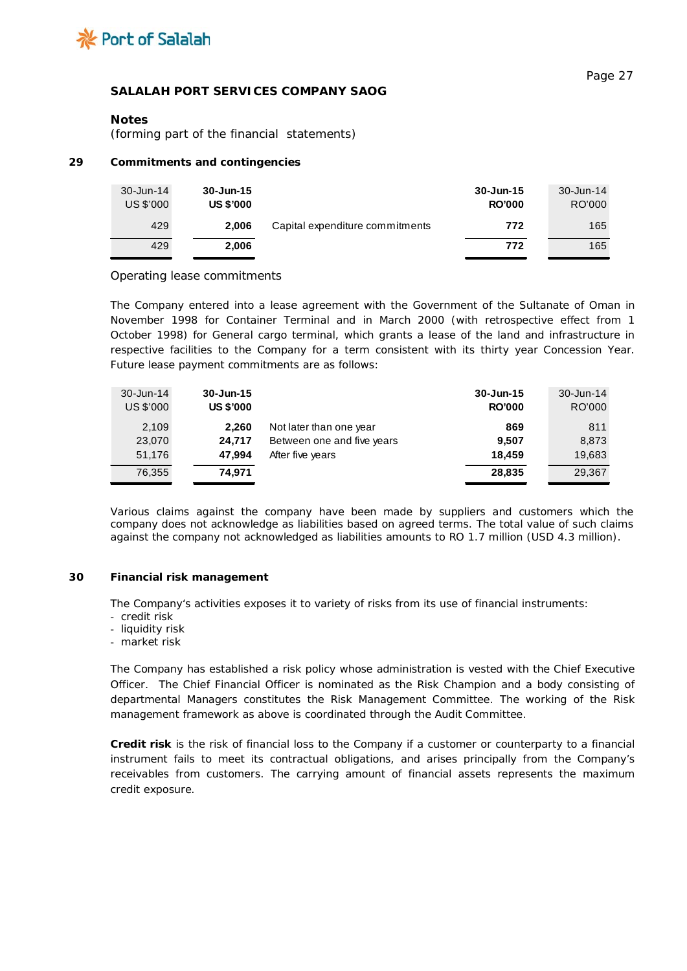

#### **Notes**

*(forming part of the financial statements)*

#### **29 Commitments and contingencies**

| 30-Jun-14<br>US \$'000 | 30-Jun-15<br><b>US \$'000</b> |                                 | 30-Jun-15<br><b>RO'000</b> | 30-Jun-14<br>RO'000 |
|------------------------|-------------------------------|---------------------------------|----------------------------|---------------------|
| 429                    | 2.006                         | Capital expenditure commitments | 772                        | 165                 |
| 429                    | 2.006                         |                                 | 772                        | 165                 |

#### Operating lease commitments

The Company entered into a lease agreement with the Government of the Sultanate of Oman in November 1998 for Container Terminal and in March 2000 (with retrospective effect from 1 October 1998) for General cargo terminal, which grants a lease of the land and infrastructure in respective facilities to the Company for a term consistent with its thirty year Concession Year. Future lease payment commitments are as follows:

| 30-Jun-14 | 30-Jun-15        |                            | 30-Jun-15     | $30 - Jun-14$ |
|-----------|------------------|----------------------------|---------------|---------------|
| US \$'000 | <b>US \$'000</b> |                            | <b>RO'000</b> | RO'000        |
| 2,109     | 2.260            | Not later than one year    | 869           | 811           |
| 23,070    | 24.717           | Between one and five years | 9.507         | 8,873         |
| 51,176    | 47.994           | After five years           | 18.459        | 19,683        |
| 76,355    | 74.971           |                            | 28.835        | 29.367        |

Various claims against the company have been made by suppliers and customers which the company does not acknowledge as liabilities based on agreed terms. The total value of such claims against the company not acknowledged as liabilities amounts to RO 1.7 million (USD 4.3 million).

### **30 Financial risk management**

The Company's activities exposes it to variety of risks from its use of financial instruments:

- credit risk
- liquidity risk
- market risk

The Company has established a risk policy whose administration is vested with the Chief Executive Officer. The Chief Financial Officer is nominated as the Risk Champion and a body consisting of departmental Managers constitutes the Risk Management Committee. The working of the Risk management framework as above is coordinated through the Audit Committee.

**Credit risk** is the risk of financial loss to the Company if a customer or counterparty to a financial instrument fails to meet its contractual obligations, and arises principally from the Company's receivables from customers. The carrying amount of financial assets represents the maximum credit exposure.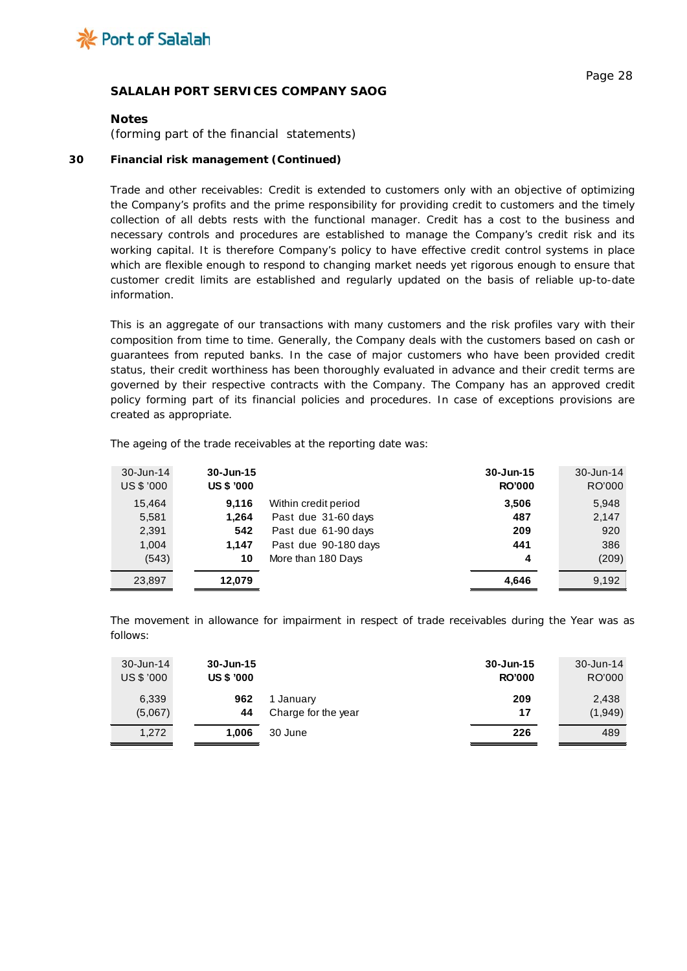

#### **Notes**

*(forming part of the financial statements)*

### **30 Financial risk management (Continued)**

Trade and other receivables: Credit is extended to customers only with an objective of optimizing the Company's profits and the prime responsibility for providing credit to customers and the timely collection of all debts rests with the functional manager. Credit has a cost to the business and necessary controls and procedures are established to manage the Company's credit risk and its working capital. It is therefore Company's policy to have effective credit control systems in place which are flexible enough to respond to changing market needs yet rigorous enough to ensure that customer credit limits are established and regularly updated on the basis of reliable up-to-date information.

This is an aggregate of our transactions with many customers and the risk profiles vary with their composition from time to time. Generally, the Company deals with the customers based on cash or guarantees from reputed banks. In the case of major customers who have been provided credit status, their credit worthiness has been thoroughly evaluated in advance and their credit terms are governed by their respective contracts with the Company. The Company has an approved credit policy forming part of its financial policies and procedures. In case of exceptions provisions are created as appropriate.

| 30-Jun-14<br>US \$ '000 | $30 - Jun-15$<br><b>US \$ '000</b> |                      | $30 - Jun-15$<br><b>RO'000</b> | 30-Jun-14<br>RO'000 |
|-------------------------|------------------------------------|----------------------|--------------------------------|---------------------|
| 15.464                  | 9,116                              | Within credit period | 3,506                          | 5,948               |
| 5,581                   | 1,264                              | Past due 31-60 days  | 487                            | 2,147               |
| 2,391                   | 542                                | Past due 61-90 days  | 209                            | 920                 |
| 1,004                   | 1,147                              | Past due 90-180 days | 441                            | 386                 |
| (543)                   | 10                                 | More than 180 Days   | 4                              | (209)               |
| 23,897                  | 12,079                             |                      | 4.646                          | 9,192               |

The ageing of the trade receivables at the reporting date was:

The movement in allowance for impairment in respect of trade receivables during the Year was as follows:

| $30 - Jun-14$ | 30-Jun-15         |                     | 30-Jun-15     | 30-Jun-14 |
|---------------|-------------------|---------------------|---------------|-----------|
| US \$ '000    | <b>US \$ '000</b> |                     | <b>RO'000</b> | RO'000    |
| 6,339         | 962               | 1 January           | 209           | 2,438     |
| (5,067)       | 44                | Charge for the year | 17            | (1,949)   |
| 1.272         | 1.006             | 30 June             | 226           | 489       |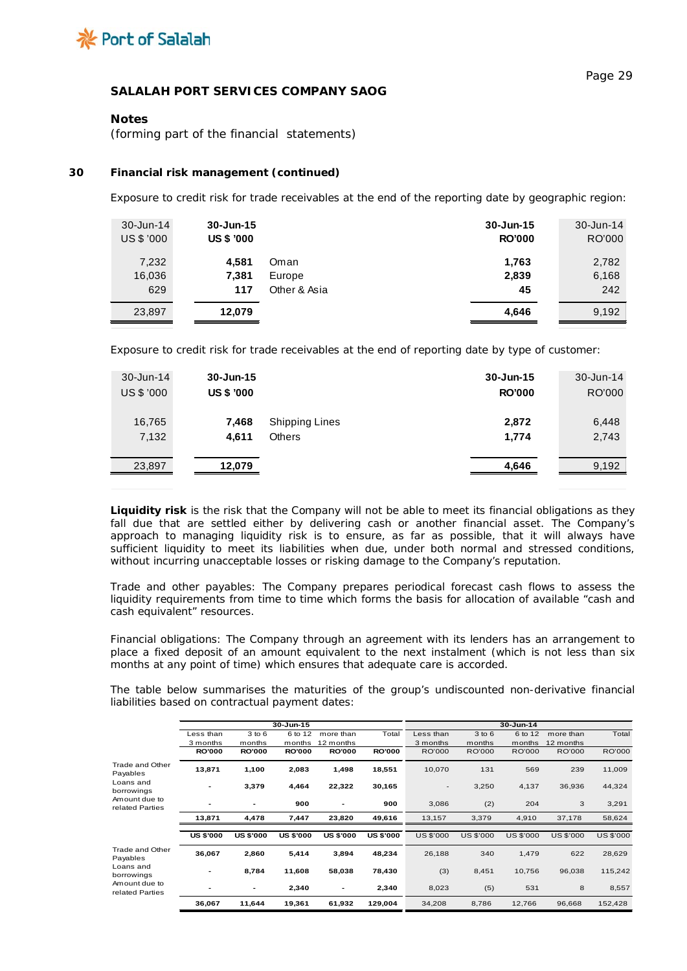

## **Notes**

*(forming part of the financial statements)*

#### **30 Financial risk management (continued)**

Exposure to credit risk for trade receivables at the end of the reporting date by geographic region:

| 30-Jun-14  | 30-Jun-15         |              | 30-Jun-15     | 30-Jun-14 |
|------------|-------------------|--------------|---------------|-----------|
| US \$ '000 | <b>US \$ '000</b> |              | <b>RO'000</b> | RO'000    |
| 7,232      | 4.581             | Oman         | 1,763         | 2,782     |
| 16,036     | 7,381             | Europe       | 2,839         | 6,168     |
| 629        | 117               | Other & Asia | 45            | 242       |
| 23,897     | 12,079            |              | 4,646         | 9,192     |

Exposure to credit risk for trade receivables at the end of reporting date by type of customer:

| 30-Jun-14  | 30-Jun-15         |                       | 30-Jun-15     | 30-Jun-14 |
|------------|-------------------|-----------------------|---------------|-----------|
| US \$ '000 | <b>US \$ '000</b> |                       | <b>RO'000</b> | RO'000    |
| 16,765     | 7,468             | <b>Shipping Lines</b> | 2,872         | 6,448     |
| 7,132      | 4.611             | <b>Others</b>         | 1.774         | 2,743     |
| 23,897     | 12,079            |                       | 4,646         | 9,192     |

**Liquidity risk** is the risk that the Company will not be able to meet its financial obligations as they fall due that are settled either by delivering cash or another financial asset. The Company's approach to managing liquidity risk is to ensure, as far as possible, that it will always have sufficient liquidity to meet its liabilities when due, under both normal and stressed conditions, without incurring unacceptable losses or risking damage to the Company's reputation.

*Trade and other payables*: The Company prepares periodical forecast cash flows to assess the liquidity requirements from time to time which forms the basis for allocation of available "cash and cash equivalent" resources.

*Financial obligations*: The Company through an agreement with its lenders has an arrangement to place a fixed deposit of an amount equivalent to the next instalment (which is not less than six months at any point of time) which ensures that adequate care is accorded.

The table below summarises the maturities of the group's undiscounted non-derivative financial liabilities based on contractual payment dates:

|                                  |                  |                  | 30-Jun-15        |                  |                  |                          |                  | 30-Jun-14        |                  |                  |
|----------------------------------|------------------|------------------|------------------|------------------|------------------|--------------------------|------------------|------------------|------------------|------------------|
|                                  | Less than        | 3 to 6           | 6 to 12          | more than        | Total            | Less than                | 3 to 6           | 6 to 12          | more than        | Total            |
|                                  | 3 months         | months           | months           | 12 months        |                  | 3 months                 | months           | months           | 12 months        |                  |
|                                  | <b>RO'000</b>    | <b>RO'000</b>    | <b>RO'000</b>    | <b>RO'000</b>    | <b>RO'000</b>    | RO'000                   | RO'000           | RO'000           | RO'000           | RO'000           |
| Trade and Other<br>Payables      | 13,871           | 1,100            | 2,083            | 1,498            | 18,551           | 10,070                   | 131              | 569              | 239              | 11,009           |
| Loans and<br>borrowings          |                  | 3,379            | 4,464            | 22,322           | 30,165           | $\overline{\phantom{a}}$ | 3,250            | 4,137            | 36,936           | 44,324           |
| Amount due to<br>related Parties |                  | -                | 900              |                  | 900              | 3,086                    | (2)              | 204              | 3                | 3,291            |
|                                  | 13,871           | 4,478            | 7,447            | 23,820           | 49,616           | 13,157                   | 3,379            | 4,910            | 37,178           | 58,624           |
|                                  | <b>US \$'000</b> | <b>US \$'000</b> | <b>US \$'000</b> | <b>US \$'000</b> | <b>US \$'000</b> | <b>US \$'000</b>         | <b>US \$'000</b> | <b>US \$'000</b> | <b>US \$'000</b> | <b>US \$'000</b> |
| Trade and Other<br>Payables      | 36,067           | 2,860            | 5,414            | 3,894            | 48,234           | 26,188                   | 340              | 1,479            | 622              | 28,629           |
| Loans and<br>borrowings          |                  | 8,784            | 11,608           | 58,038           | 78,430           | (3)                      | 8,451            | 10,756           | 96,038           | 115,242          |
| Amount due to<br>related Parties |                  | -                | 2,340            | -                | 2,340            | 8,023                    | (5)              | 531              | 8                | 8,557            |
|                                  | 36,067           | 11,644           | 19,361           | 61,932           | 129,004          | 34,208                   | 8,786            | 12,766           | 96,668           | 152,428          |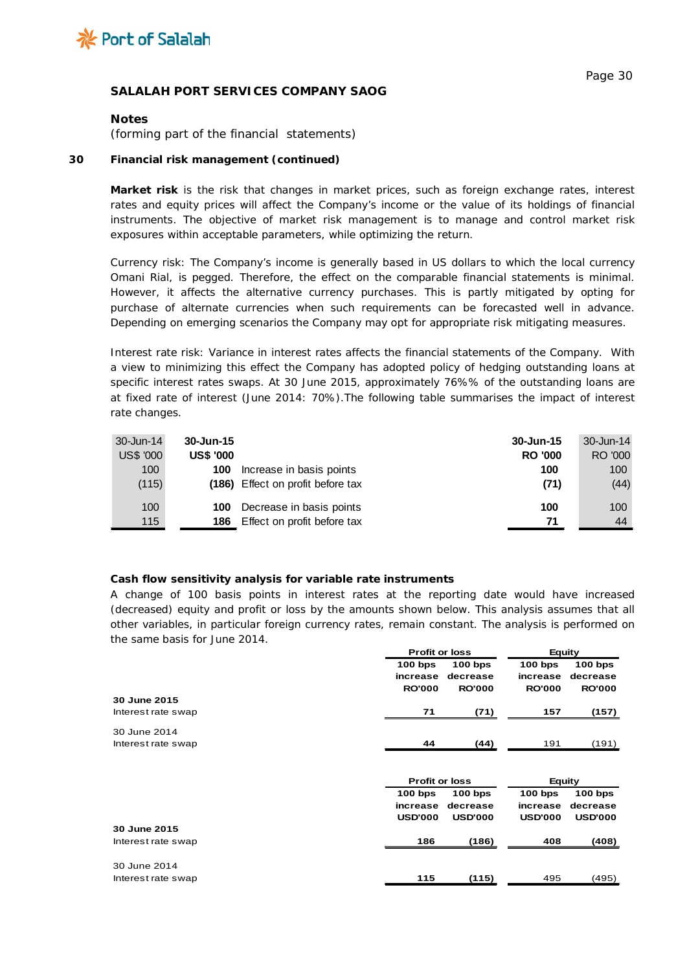

#### **Notes**

*(forming part of the financial statements)*

#### **30 Financial risk management (continued)**

**Market risk** is the risk that changes in market prices, such as foreign exchange rates, interest rates and equity prices will affect the Company's income or the value of its holdings of financial instruments. The objective of market risk management is to manage and control market risk exposures within acceptable parameters, while optimizing the return.

*Currency risk:* The Company's income is generally based in US dollars to which the local currency Omani Rial, is pegged. Therefore, the effect on the comparable financial statements is minimal. However, it affects the alternative currency purchases. This is partly mitigated by opting for purchase of alternate currencies when such requirements can be forecasted well in advance. Depending on emerging scenarios the Company may opt for appropriate risk mitigating measures.

*Interest rate risk*: Variance in interest rates affects the financial statements of the Company. With a view to minimizing this effect the Company has adopted policy of hedging outstanding loans at specific interest rates swaps. At 30 June 2015, approximately 76%% of the outstanding loans are at fixed rate of interest (June 2014: 70%).The following table summarises the impact of interest rate changes.

| 30-Jun-14        | 30-Jun-15        |                                   | 30-Jun-15      | 30-Jun-14 |
|------------------|------------------|-----------------------------------|----------------|-----------|
| <b>US\$ '000</b> | <b>US\$ '000</b> |                                   | <b>RO '000</b> | RO '000   |
| 100              | 100              | Increase in basis points          | 100            | 100       |
| (115)            |                  | (186) Effect on profit before tax | (71)           | (44)      |
| 100              | 100              | Decrease in basis points          | 100            | 100       |
| 115              | 186              | Effect on profit before tax       | 71             | 44        |

## **Cash flow sensitivity analysis for variable rate instruments**

A change of 100 basis points in interest rates at the reporting date would have increased (decreased) equity and profit or loss by the amounts shown below. This analysis assumes that all other variables, in particular foreign currency rates, remain constant. The analysis is performed on the same basis for June 2014.

|                    | <b>Profit or loss</b>                  |                                        | Equity                                 |                                        |  |
|--------------------|----------------------------------------|----------------------------------------|----------------------------------------|----------------------------------------|--|
|                    | $100$ bps<br>increase<br><b>RO'000</b> | $100$ bps<br>decrease<br><b>RO'000</b> | $100$ bps<br>increase<br><b>RO'000</b> | $100$ bps<br>decrease<br><b>RO'000</b> |  |
| 30 June 2015       |                                        |                                        |                                        |                                        |  |
| Interest rate swap | 71                                     | (71)                                   | 157                                    | (157)                                  |  |
| 30 June 2014       |                                        |                                        |                                        |                                        |  |
| Interest rate swap | 44                                     | (44)                                   | 191                                    | (191)                                  |  |
|                    |                                        |                                        |                                        |                                        |  |
|                    | <b>Profit or loss</b>                  |                                        | <b>Equity</b>                          |                                        |  |
|                    | $100$ bps                              | $100$ bps                              | $100$ bps                              | $100$ bps                              |  |
|                    | increase                               | decrease                               | increase                               | decrease                               |  |
|                    | <b>USD'000</b>                         | <b>USD'000</b>                         | <b>USD'000</b>                         | <b>USD'000</b>                         |  |
| 30 June 2015       |                                        |                                        |                                        |                                        |  |
| Interest rate swap | 186                                    | (186)                                  | 408                                    | (408)                                  |  |
| 30 June 2014       |                                        |                                        |                                        |                                        |  |
| Interest rate swap | 115                                    | (115)                                  | 495                                    | (495)                                  |  |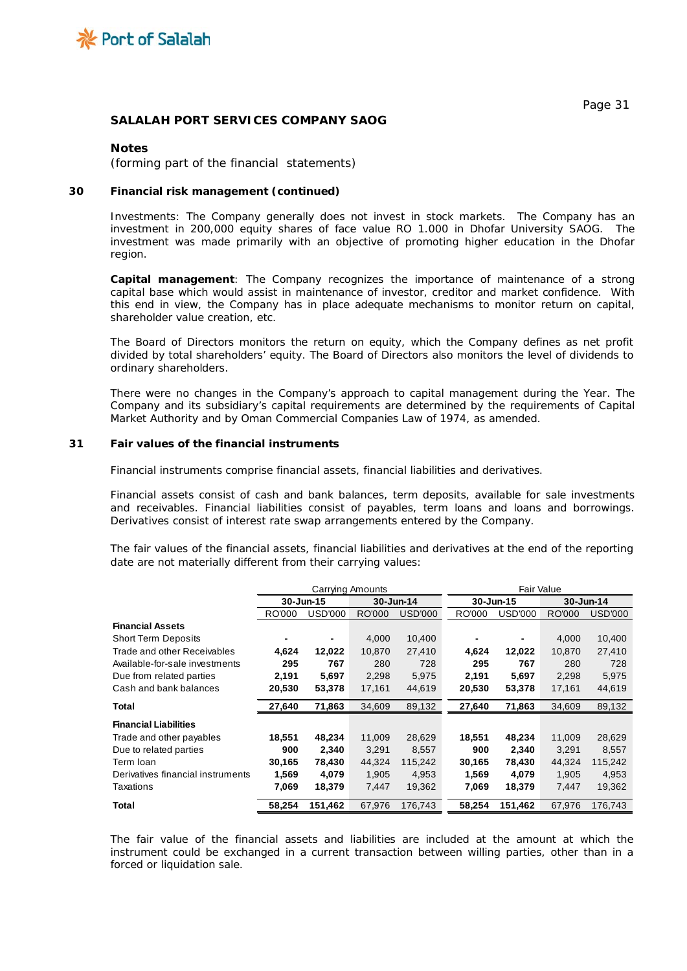

#### **Notes**

*(forming part of the financial statements)*

#### **30 Financial risk management (continued)**

Investments: The Company generally does not invest in stock markets. The Company has an investment in 200,000 equity shares of face value RO 1.000 in Dhofar University SAOG. The investment was made primarily with an objective of promoting higher education in the Dhofar region.

**Capital management**: The Company recognizes the importance of maintenance of a strong capital base which would assist in maintenance of investor, creditor and market confidence. With this end in view, the Company has in place adequate mechanisms to monitor return on capital, shareholder value creation, etc.

The Board of Directors monitors the return on equity, which the Company defines as net profit divided by total shareholders' equity. The Board of Directors also monitors the level of dividends to ordinary shareholders.

There were no changes in the Company's approach to capital management during the Year. The Company and its subsidiary's capital requirements are determined by the requirements of Capital Market Authority and by Oman Commercial Companies Law of 1974, as amended.

#### **31 Fair values of the financial instruments**

Financial instruments comprise financial assets, financial liabilities and derivatives.

Financial assets consist of cash and bank balances, term deposits, available for sale investments and receivables. Financial liabilities consist of payables, term loans and loans and borrowings. Derivatives consist of interest rate swap arrangements entered by the Company.

The fair values of the financial assets, financial liabilities and derivatives at the end of the reporting date are not materially different from their carrying values:

|                                    |        | Carrying Amounts |           |                | Fair Value |                |        |                |
|------------------------------------|--------|------------------|-----------|----------------|------------|----------------|--------|----------------|
|                                    |        | 30-Jun-15        | 30-Jun-14 |                |            | 30-Jun-15      |        | 30-Jun-14      |
|                                    | RO'000 | USD'000          | RO'000    | <b>USD'000</b> | RO'000     | <b>USD'000</b> | RO'000 | <b>USD'000</b> |
| <b>Financial Assets</b>            |        |                  |           |                |            |                |        |                |
| <b>Short Term Deposits</b>         |        |                  | 4,000     | 10,400         |            |                | 4,000  | 10,400         |
| <b>Trade and other Receivables</b> | 4,624  | 12,022           | 10,870    | 27,410         | 4,624      | 12,022         | 10,870 | 27,410         |
| Available-for-sale investments     | 295    | 767              | 280       | 728            | 295        | 767            | 280    | 728            |
| Due from related parties           | 2,191  | 5,697            | 2,298     | 5,975          | 2,191      | 5,697          | 2,298  | 5,975          |
| Cash and bank balances             | 20,530 | 53,378           | 17,161    | 44,619         | 20,530     | 53,378         | 17,161 | 44,619         |
| Total                              | 27,640 | 71,863           | 34,609    | 89,132         | 27,640     | 71,863         | 34,609 | 89,132         |
| <b>Financial Liabilities</b>       |        |                  |           |                |            |                |        |                |
| Trade and other payables           | 18,551 | 48,234           | 11,009    | 28,629         | 18,551     | 48,234         | 11,009 | 28,629         |
| Due to related parties             | 900    | 2,340            | 3,291     | 8,557          | 900        | 2,340          | 3,291  | 8,557          |
| Term Ioan                          | 30,165 | 78,430           | 44,324    | 115,242        | 30,165     | 78,430         | 44,324 | 115,242        |
| Derivatives financial instruments  | 1,569  | 4,079            | 1,905     | 4,953          | 1,569      | 4,079          | 1,905  | 4,953          |
| Taxations                          | 7,069  | 18,379           | 7,447     | 19,362         | 7,069      | 18,379         | 7,447  | 19,362         |
| Total                              | 58,254 | 151,462          | 67,976    | 176,743        | 58,254     | 151,462        | 67,976 | 176,743        |

The fair value of the financial assets and liabilities are included at the amount at which the instrument could be exchanged in a current transaction between willing parties, other than in a forced or liquidation sale.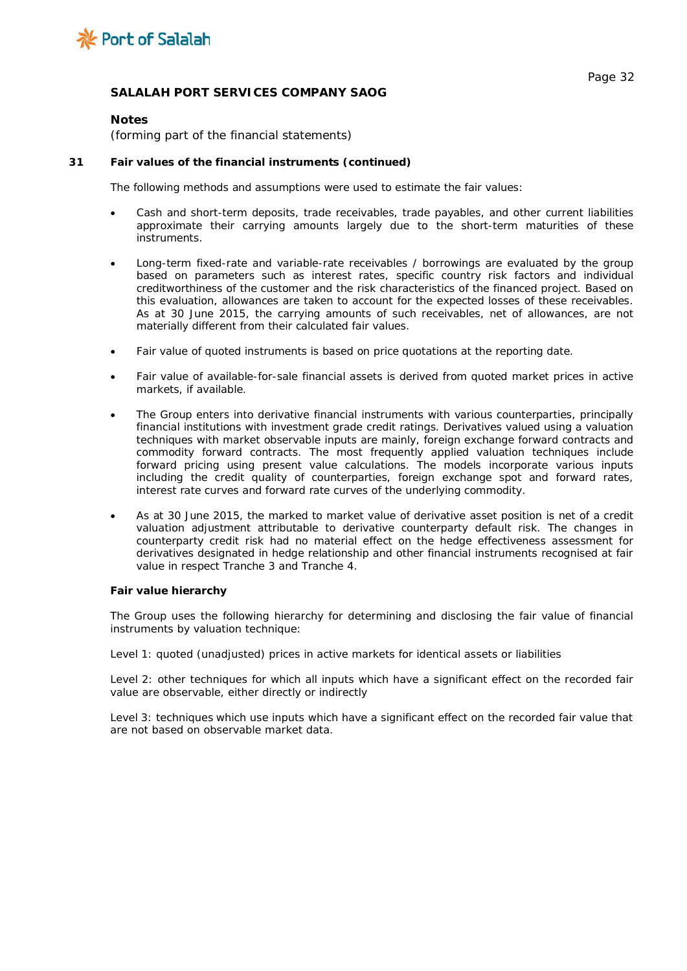

#### **Notes**

*(forming part of the financial statements)*

#### **31 Fair values of the financial instruments (continued)**

The following methods and assumptions were used to estimate the fair values:

- Cash and short-term deposits, trade receivables, trade payables, and other current liabilities approximate their carrying amounts largely due to the short-term maturities of these instruments.
- Long-term fixed-rate and variable-rate receivables / borrowings are evaluated by the group based on parameters such as interest rates, specific country risk factors and individual creditworthiness of the customer and the risk characteristics of the financed project. Based on this evaluation, allowances are taken to account for the expected losses of these receivables. As at 30 June 2015, the carrying amounts of such receivables, net of allowances, are not materially different from their calculated fair values.
- Fair value of quoted instruments is based on price quotations at the reporting date.
- Fair value of available-for-sale financial assets is derived from quoted market prices in active markets, if available.
- The Group enters into derivative financial instruments with various counterparties, principally financial institutions with investment grade credit ratings. Derivatives valued using a valuation techniques with market observable inputs are mainly, foreign exchange forward contracts and commodity forward contracts. The most frequently applied valuation techniques include forward pricing using present value calculations. The models incorporate various inputs including the credit quality of counterparties, foreign exchange spot and forward rates, interest rate curves and forward rate curves of the underlying commodity.
- As at 30 June 2015, the marked to market value of derivative asset position is net of a credit valuation adjustment attributable to derivative counterparty default risk. The changes in counterparty credit risk had no material effect on the hedge effectiveness assessment for derivatives designated in hedge relationship and other financial instruments recognised at fair value in respect Tranche 3 and Tranche 4.

#### **Fair value hierarchy**

The Group uses the following hierarchy for determining and disclosing the fair value of financial instruments by valuation technique:

Level 1: quoted (unadjusted) prices in active markets for identical assets or liabilities

Level 2: other techniques for which all inputs which have a significant effect on the recorded fair value are observable, either directly or indirectly

Level 3: techniques which use inputs which have a significant effect on the recorded fair value that are not based on observable market data.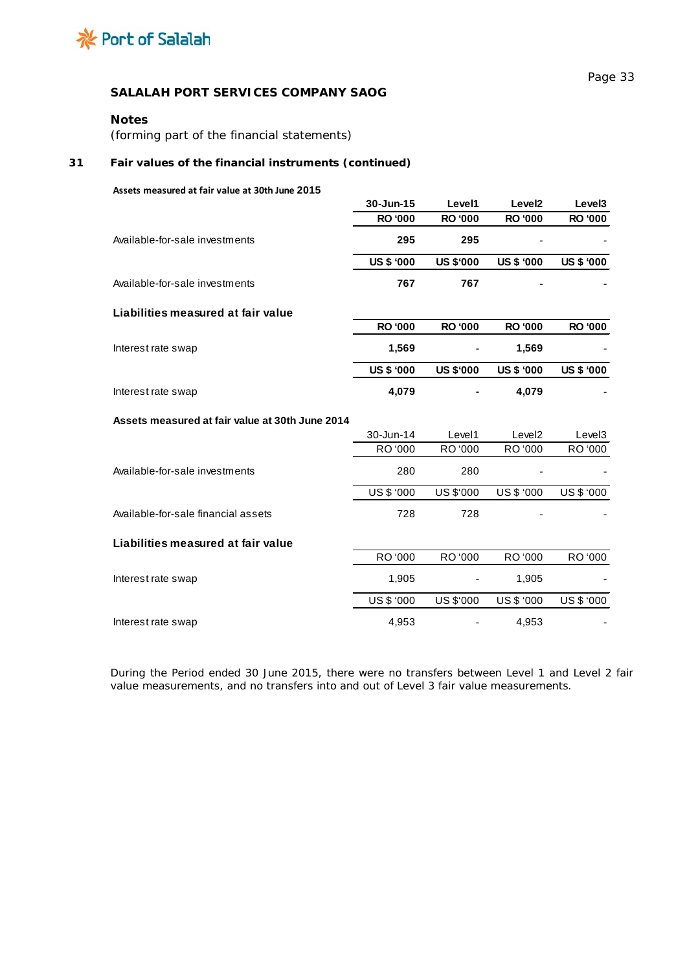

## **Notes**

*(forming part of the financial statements)*

## **31 Fair values of the financial instruments (continued)**

#### **Assets measured at fair value at 30th June 2015**

|                                                 | 30-Jun-15         | Level1           | Level <sub>2</sub> | Level <sub>3</sub> |
|-------------------------------------------------|-------------------|------------------|--------------------|--------------------|
|                                                 | <b>RO '000</b>    | <b>RO '000</b>   | <b>RO '000</b>     | <b>RO '000</b>     |
| Available-for-sale investments                  | 295               | 295              |                    |                    |
|                                                 | <b>US \$ '000</b> | <b>US \$'000</b> | <b>US \$ '000</b>  | <b>US \$ '000</b>  |
| Available-for-sale investments                  | 767               | 767              |                    |                    |
| Liabilities measured at fair value              |                   |                  |                    |                    |
|                                                 | <b>RO '000</b>    | <b>RO '000</b>   | <b>RO '000</b>     | <b>RO '000</b>     |
| Interest rate swap                              | 1,569             |                  | 1,569              |                    |
|                                                 | <b>US \$ '000</b> | <b>US \$'000</b> | <b>US \$ '000</b>  | <b>US \$ '000</b>  |
| Interest rate swap                              | 4,079             |                  | 4,079              |                    |
| Assets measured at fair value at 30th June 2014 |                   |                  |                    |                    |
|                                                 |                   |                  |                    |                    |
|                                                 | 30-Jun-14         | Level1           | Level <sub>2</sub> | Level <sub>3</sub> |
|                                                 | RO '000           | RO '000          | RO '000            | RO '000            |
| Available-for-sale investments                  | 280               | 280              |                    |                    |
|                                                 | <b>US \$ '000</b> | US \$'000        | <b>US \$ '000</b>  | US\$ '000          |
| Available-for-sale financial assets             | 728               | 728              |                    |                    |
|                                                 |                   |                  |                    |                    |
| Liabilities measured at fair value              | RO '000           | RO '000          | RO '000            | RO '000            |
| Interest rate swap                              | 1,905             |                  | 1,905              |                    |
|                                                 | US\$ '000         | US \$'000        | US \$ '000         | US \$ '000         |

During the Period ended 30 June 2015, there were no transfers between Level 1 and Level 2 fair value measurements, and no transfers into and out of Level 3 fair value measurements.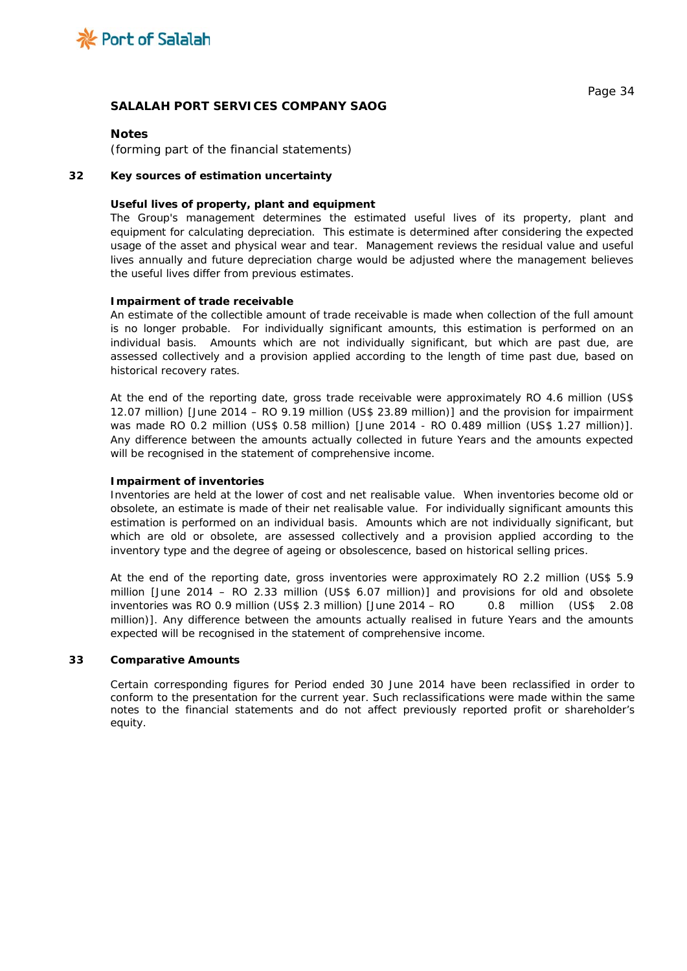

### **Notes**

*(forming part of the financial statements)*

#### **32 Key sources of estimation uncertainty**

#### **Useful lives of property, plant and equipment**

The Group's management determines the estimated useful lives of its property, plant and equipment for calculating depreciation. This estimate is determined after considering the expected usage of the asset and physical wear and tear. Management reviews the residual value and useful lives annually and future depreciation charge would be adjusted where the management believes the useful lives differ from previous estimates.

#### **Impairment of trade receivable**

An estimate of the collectible amount of trade receivable is made when collection of the full amount is no longer probable. For individually significant amounts, this estimation is performed on an individual basis. Amounts which are not individually significant, but which are past due, are assessed collectively and a provision applied according to the length of time past due, based on historical recovery rates.

At the end of the reporting date, gross trade receivable were approximately RO 4.6 million (US\$ 12.07 million) [June 2014 – RO 9.19 million (US\$ 23.89 million)] and the provision for impairment was made RO 0.2 million (US\$ 0.58 million) [June 2014 - RO 0.489 million (US\$ 1.27 million)]. Any difference between the amounts actually collected in future Years and the amounts expected will be recognised in the statement of comprehensive income.

#### **Impairment of inventories**

Inventories are held at the lower of cost and net realisable value. When inventories become old or obsolete, an estimate is made of their net realisable value. For individually significant amounts this estimation is performed on an individual basis. Amounts which are not individually significant, but which are old or obsolete, are assessed collectively and a provision applied according to the inventory type and the degree of ageing or obsolescence, based on historical selling prices.

At the end of the reporting date, gross inventories were approximately RO 2.2 million (US\$ 5.9 million [June 2014 – RO 2.33 million (US\$ 6.07 million)] and provisions for old and obsolete inventories was RO 0.9 million (US\$ 2.3 million) [June 2014 – RO 0.8 million (US\$ 2.08 million)]. Any difference between the amounts actually realised in future Years and the amounts expected will be recognised in the statement of comprehensive income.

#### **33 Comparative Amounts**

Certain corresponding figures for Period ended 30 June 2014 have been reclassified in order to conform to the presentation for the current year. Such reclassifications were made within the same notes to the financial statements and do not affect previously reported profit or shareholder's equity.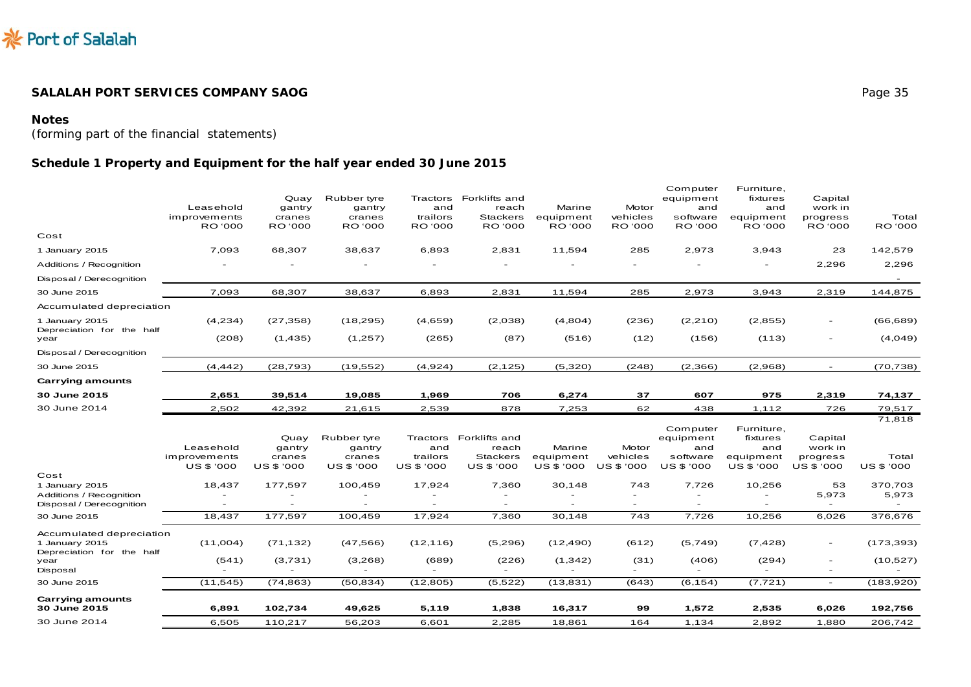

## **Notes**

*(forming part of the financial statements)*

# **Schedule 1 Property and Equipment** *for the half year ended 30 June 2015*

|                                                                                 | Leasehold<br>improvements<br>RO '000 | Quay<br>gantry<br>cranes<br>RO '000 | Rubber tyre<br>gantry<br>cranes<br>RO '000 | and<br>trailors<br>RO '000  | Tractors Forklifts and<br>reach<br><b>Stackers</b><br><b>RO</b> '000 | Marine<br>equipment<br><b>RO</b> '000 | Motor<br>vehicles<br>RO '000 | Computer<br>equipment<br>and<br>software<br><b>RO</b> '000 | Furniture,<br>fixtures<br>and<br>equipment<br><b>RO</b> '000 | Capital<br>work in<br>progress<br><b>RO</b> '000     | Total<br>RO '000       |
|---------------------------------------------------------------------------------|--------------------------------------|-------------------------------------|--------------------------------------------|-----------------------------|----------------------------------------------------------------------|---------------------------------------|------------------------------|------------------------------------------------------------|--------------------------------------------------------------|------------------------------------------------------|------------------------|
| Cost                                                                            |                                      |                                     |                                            |                             |                                                                      |                                       |                              |                                                            |                                                              |                                                      |                        |
| 1 January 2015                                                                  | 7,093                                | 68,307                              | 38,637                                     | 6,893                       | 2,831                                                                | 11,594                                | 285                          | 2,973                                                      | 3,943                                                        | 23                                                   | 142,579                |
| Additions / Recognition                                                         |                                      |                                     |                                            |                             |                                                                      |                                       |                              |                                                            |                                                              | 2,296                                                | 2,296                  |
| Disposal / Derecognition                                                        |                                      |                                     |                                            |                             |                                                                      |                                       |                              |                                                            |                                                              |                                                      |                        |
| 30 June 2015                                                                    | 7,093                                | 68,307                              | 38,637                                     | 6,893                       | 2,831                                                                | 11,594                                | 285                          | 2,973                                                      | 3,943                                                        | 2,319                                                | 144,875                |
| Accumulated depreciation                                                        |                                      |                                     |                                            |                             |                                                                      |                                       |                              |                                                            |                                                              |                                                      |                        |
| 1 January 2015<br>Depreciation for the half                                     | (4,234)                              | (27, 358)                           | (18, 295)                                  | (4,659)                     | (2,038)                                                              | (4,804)                               | (236)                        | (2,210)                                                    | (2, 855)                                                     | $\overline{\phantom{a}}$                             | (66, 689)              |
| year                                                                            | (208)                                | (1, 435)                            | (1,257)                                    | (265)                       | (87)                                                                 | (516)                                 | (12)                         | (156)                                                      | (113)                                                        | $\overline{\phantom{a}}$                             | (4,049)                |
| Disposal / Derecognition                                                        |                                      |                                     |                                            |                             |                                                                      |                                       |                              |                                                            |                                                              |                                                      |                        |
| 30 June 2015                                                                    | (4, 442)                             | (28, 793)                           | (19, 552)                                  | (4,924)                     | (2, 125)                                                             | (5,320)                               | (248)                        | (2,366)                                                    | (2,968)                                                      | $\overline{\phantom{0}}$                             | (70, 738)              |
| <b>Carrying amounts</b>                                                         |                                      |                                     |                                            |                             |                                                                      |                                       |                              |                                                            |                                                              |                                                      |                        |
| 30 June 2015                                                                    | 2,651                                | 39,514                              | 19,085                                     | 1,969                       | 706                                                                  | 6,274                                 | 37                           | 607                                                        | 975                                                          | 2,319                                                | 74,137                 |
| 30 June 2014                                                                    | 2,502                                | 42,392                              | 21,615                                     | 2,539                       | 878                                                                  | 7,253                                 | 62                           | 438                                                        | 1,112                                                        | 726                                                  | 79,517                 |
|                                                                                 | Leasehold<br>improvements            | Quay<br>gantry<br>cranes            | Rubber tyre<br>gantry<br>cranes            | Tractors<br>and<br>trailors | Forklifts and<br>reach<br><b>Stackers</b>                            | Marine<br>equipment                   | Motor<br>vehicles            | Computer<br>equipment<br>and<br>software                   | Furniture,<br>fixtures<br>and<br>equipment                   | Capital<br>work in<br>progress                       | 71,818<br>Total        |
|                                                                                 | <b>US \$ '000</b>                    | US \$ '000                          | US \$ '000                                 | US \$ '000                  | US \$ '000                                                           | US \$ '000                            | <b>US \$ '000</b>            | US \$ '000                                                 | US \$ '000                                                   | <b>US \$ '000</b>                                    | <b>US \$ '000</b>      |
| Cost<br>1 January 2015<br>Additions / Recognition<br>Disposal / Derecognition   | 18,437                               | 177,597                             | 100,459                                    | 17,924                      | 7,360                                                                | 30,148                                | 743<br>$\overline{a}$        | 7,726                                                      | 10,256                                                       | 53<br>5,973<br>$\overline{a}$                        | 370,703<br>5,973       |
| 30 June 2015                                                                    | 18,437                               | 177,597                             | 100,459                                    | 17,924                      | 7,360                                                                | 30,148                                | 743                          | 7,726                                                      | 10,256                                                       | 6,026                                                | 376,676                |
| Accumulated depreciation<br>1 January 2015<br>Depreciation for the half<br>year | (11,004)<br>(541)                    | (71, 132)<br>(3,731)                | (47, 566)<br>(3,268)                       | (12, 116)<br>(689)          | (5,296)<br>(226)                                                     | (12, 490)<br>(1, 342)                 | (612)<br>(31)                | (5,749)<br>(406)                                           | (7, 428)<br>(294)                                            | $\overline{\phantom{a}}$<br>$\overline{\phantom{a}}$ | (173, 393)<br>(10,527) |
| Disposal                                                                        |                                      |                                     |                                            |                             |                                                                      |                                       |                              |                                                            |                                                              |                                                      |                        |
| 30 June 2015                                                                    | (11, 545)                            | (74, 863)                           | (50, 834)                                  | (12, 805)                   | (5,522)                                                              | (13, 831)                             | (643)                        | (6, 154)                                                   | (7, 721)                                                     | $ \,$                                                | (183,920)              |
| <b>Carrying amounts</b><br>30 June 2015                                         | 6,891                                | 102,734                             | 49,625                                     | 5,119                       | 1,838                                                                | 16,317                                | 99                           | 1,572                                                      | 2,535                                                        | 6,026                                                | 192,756                |
| 30 June 2014                                                                    | 6,505                                | 110,217                             | 56,203                                     | 6,601                       | 2,285                                                                | 18,861                                | 164                          | 1,134                                                      | 2,892                                                        | 1,880                                                | 206,742                |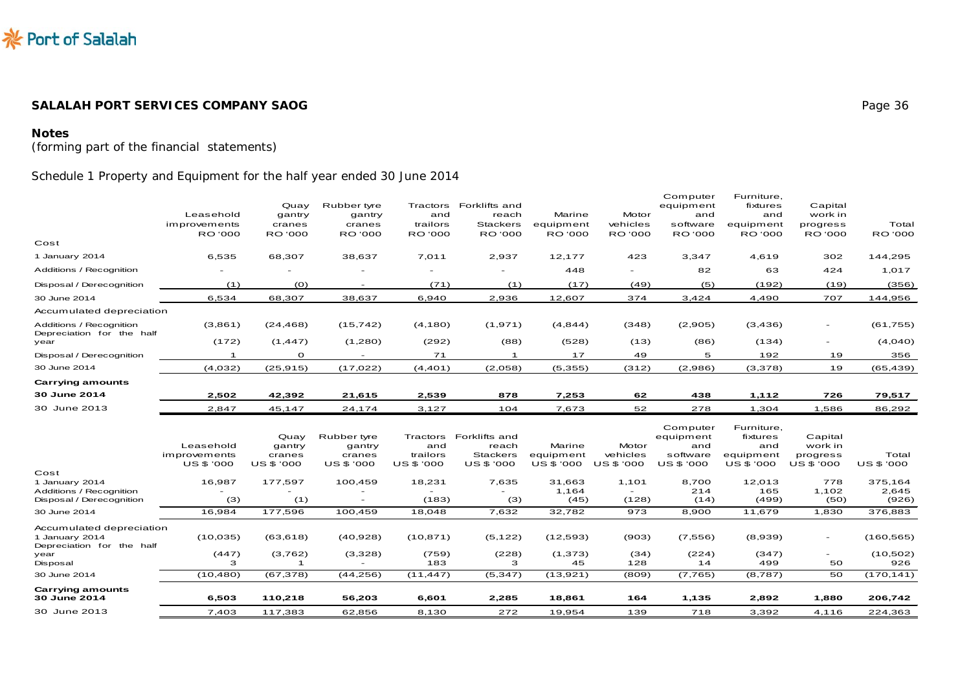

# **Notes**

*(forming part of the financial statements)*

# Schedule 1 Property and Equipment *for the half year ended 30 June 2014*

|                                                                         | Leasehold<br>improvements<br><b>RO</b> '000    | Quay<br>gantry<br>cranes<br>RO '000    | Rubber tyre<br>gantry<br>cranes<br>RO '000    | Tractors<br>and<br>trailors<br><b>RO</b> '000 | Forklifts and<br>reach<br><b>Stackers</b><br><b>RO</b> '000 | Marine<br>equipment<br>RO '000    | Motor<br>vehicles<br><b>RO</b> '000        | Computer<br>equipment<br>and<br>software<br>RO '000    | Furniture,<br>fixtures<br>and<br>equipment<br>RO '000           | Capital<br>work in<br>progress<br>RO '000    | Total<br>RO '000          |
|-------------------------------------------------------------------------|------------------------------------------------|----------------------------------------|-----------------------------------------------|-----------------------------------------------|-------------------------------------------------------------|-----------------------------------|--------------------------------------------|--------------------------------------------------------|-----------------------------------------------------------------|----------------------------------------------|---------------------------|
| Cost                                                                    |                                                |                                        |                                               |                                               |                                                             |                                   |                                            |                                                        |                                                                 |                                              |                           |
| 1 January 2014                                                          | 6,535                                          | 68,307                                 | 38,637                                        | 7,011                                         | 2,937                                                       | 12,177                            | 423                                        | 3,347                                                  | 4,619                                                           | 302                                          | 144,295                   |
| Additions / Recognition                                                 |                                                |                                        |                                               | $\overline{\phantom{a}}$                      |                                                             | 448                               | $\overline{\phantom{a}}$                   | 82                                                     | 63                                                              | 424                                          | 1,017                     |
| Disposal / Derecognition                                                | (1)                                            | (0)                                    |                                               | (71)                                          | (1)                                                         | (17)                              | (49)                                       | (5)                                                    | (192)                                                           | (19)                                         | (356)                     |
| 30 June 2014                                                            | 6,534                                          | 68,307                                 | 38,637                                        | 6,940                                         | 2,936                                                       | 12,607                            | 374                                        | 3,424                                                  | 4,490                                                           | 707                                          | 144,956                   |
| Accumulated depreciation                                                |                                                |                                        |                                               |                                               |                                                             |                                   |                                            |                                                        |                                                                 |                                              |                           |
| Additions / Recognition<br>Depreciation for the half                    | (3,861)                                        | (24, 468)                              | (15, 742)                                     | (4, 180)                                      | (1,971)                                                     | (4, 844)                          | (348)                                      | (2,905)                                                | (3, 436)                                                        | $\overline{\phantom{a}}$                     | (61, 755)                 |
| year                                                                    | (172)                                          | (1, 447)                               | (1,280)                                       | (292)                                         | (88)                                                        | (528)                             | (13)                                       | (86)                                                   | (134)                                                           | $\overline{\phantom{a}}$                     | (4,040)                   |
| Disposal / Derecognition                                                | $\mathbf{1}$                                   | $\mathbf{o}$                           | $\overline{\phantom{a}}$                      | 71                                            | $\mathbf{1}$                                                | 17                                | 49                                         | 5                                                      | 192                                                             | 19                                           | 356                       |
| 30 June 2014                                                            | (4,032)                                        | (25, 915)                              | (17,022)                                      | (4, 401)                                      | (2,058)                                                     | (5, 355)                          | (312)                                      | (2,986)                                                | (3,378)                                                         | 19                                           | (65, 439)                 |
| Carrying amounts                                                        |                                                |                                        |                                               |                                               |                                                             |                                   |                                            |                                                        |                                                                 |                                              |                           |
| 30 June 2014                                                            | 2,502                                          | 42,392                                 | 21,615                                        | 2,539                                         | 878                                                         | 7,253                             | 62                                         | 438                                                    | 1,112                                                           | 726                                          | 79,517                    |
| 30 June 2013                                                            | 2,847                                          | 45,147                                 | 24,174                                        | 3,127                                         | 104                                                         | 7,673                             | 52                                         | 278                                                    | 1,304                                                           | 1,586                                        | 86,292                    |
|                                                                         | Leasehold<br>improvements<br><b>US \$ '000</b> | Quay<br>gantry<br>cranes<br>US \$ '000 | Rubber tyre<br>gantry<br>cranes<br>US \$ '000 | Tractors<br>and<br>trailors<br>US \$ '000     | Forklifts and<br>reach<br><b>Stackers</b><br>US \$ '000     | Marine<br>equipment<br>US \$ '000 | Motor<br>vehicles<br>US \$ '000            | Computer<br>equipment<br>and<br>software<br>US \$ '000 | Furniture,<br>fixtures<br>and<br>equipment<br><b>US \$ '000</b> | Capital<br>work in<br>progress<br>US \$ '000 | Total<br>US \$ '000       |
| Cost                                                                    |                                                |                                        |                                               |                                               |                                                             |                                   |                                            |                                                        |                                                                 |                                              |                           |
| 1 January 2014<br>Additions / Recognition<br>Disposal / Derecognition   | 16,987<br>(3)                                  | 177,597<br>(1)                         | 100,459                                       | 18,231<br>(183)                               | 7.635<br>(3)                                                | 31.663<br>1,164<br>(45)           | 1.101<br>$\overline{\phantom{a}}$<br>(128) | 8.700<br>214<br>(14)                                   | 12,013<br>165<br>(499)                                          | 778<br>1,102<br>(50)                         | 375,164<br>2,645<br>(926) |
| 30 June 2014                                                            | 16,984                                         | 177,596                                | 100,459                                       | 18,048                                        | 7,632                                                       | 32,782                            | 973                                        | 8,900                                                  | 11,679                                                          | 1,830                                        | 376,883                   |
| Accumulated depreciation<br>1 January 2014<br>Depreciation for the half | (10, 035)                                      | (63, 618)                              | (40, 928)                                     | (10, 871)                                     | (5, 122)                                                    | (12, 593)                         | (903)                                      | (7,556)                                                | (8,939)                                                         | $\overline{\phantom{a}}$                     | (160, 565)                |
| year<br>Disposal                                                        | (447)<br>з                                     | (3,762)<br>$\mathbf{1}$                | (3,328)                                       | (759)<br>183                                  | (228)<br>з                                                  | (1, 373)<br>45                    | (34)<br>128                                | (224)<br>14                                            | (347)<br>499                                                    | 50                                           | (10, 502)<br>926          |
| 30 June 2014                                                            | (10, 480)                                      | (67, 378)                              | (44, 256)                                     | (11, 447)                                     | (5, 347)                                                    | (13,921)                          | (809)                                      | (7,765)                                                | (8,787)                                                         | 50                                           | (170, 141)                |
| Carrying amounts<br>30 June 2014                                        | 6,503                                          | 110,218                                | 56,203                                        | 6,601                                         | 2,285                                                       | 18,861                            | 164                                        | 1,135                                                  | 2,892                                                           | 1,880                                        | 206,742                   |
|                                                                         |                                                |                                        |                                               |                                               |                                                             |                                   |                                            |                                                        |                                                                 |                                              |                           |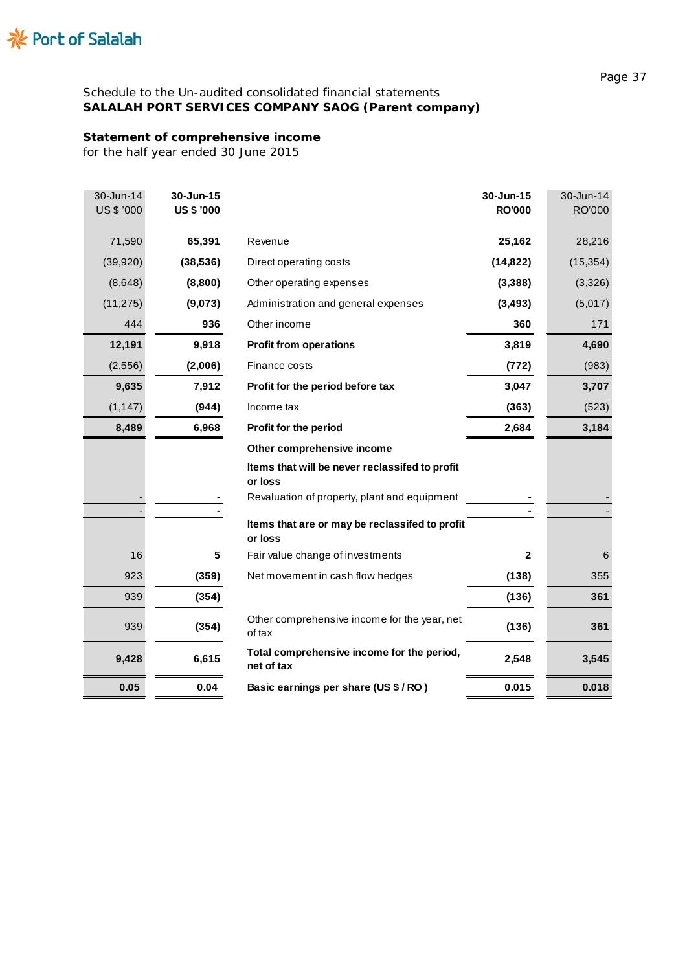

# **Statement of comprehensive income**

*for the half year ended 30 June 2015*

| 71,590<br>65,391<br>25,162<br>Revenue<br>(39, 920)<br>(38, 536)<br>Direct operating costs<br>(14, 822)<br>(8,648)<br>(8,800)<br>Other operating expenses<br>(3, 388) | 28,216<br>(15, 354)<br>(3,326)<br>(5,017) |
|----------------------------------------------------------------------------------------------------------------------------------------------------------------------|-------------------------------------------|
|                                                                                                                                                                      |                                           |
|                                                                                                                                                                      |                                           |
|                                                                                                                                                                      |                                           |
| (11, 275)<br>(9,073)<br>(3, 493)<br>Administration and general expenses                                                                                              |                                           |
| 936<br>Other income<br>360<br>444                                                                                                                                    | 171                                       |
| 12,191<br>9,918<br>3,819<br><b>Profit from operations</b>                                                                                                            | 4,690                                     |
| (2, 556)<br>(2,006)<br>Finance costs<br>(772)                                                                                                                        | (983)                                     |
| 9,635<br>7,912<br>3,047<br>Profit for the period before tax                                                                                                          | 3,707                                     |
| (1, 147)<br>(944)<br>(363)<br>Income tax                                                                                                                             | (523)                                     |
| 6,968<br>8,489<br>2,684<br>Profit for the period                                                                                                                     | 3,184                                     |
| Other comprehensive income                                                                                                                                           |                                           |
| Items that will be never reclassifed to profit<br>or loss                                                                                                            |                                           |
| Revaluation of property, plant and equipment                                                                                                                         |                                           |
| Items that are or may be reclassifed to profit<br>or loss                                                                                                            |                                           |
| 16<br>5<br>Fair value change of investments<br>$\overline{2}$                                                                                                        | 6                                         |
| 923<br>(359)<br>(138)<br>Net movement in cash flow hedges                                                                                                            | 355                                       |
| 939<br>(354)<br>(136)                                                                                                                                                | 361                                       |
| Other comprehensive income for the year, net<br>939<br>(354)<br>(136)<br>of tax                                                                                      | 361                                       |
| Total comprehensive income for the period,<br>9,428<br>6,615<br>2,548<br>net of tax                                                                                  | 3,545                                     |
| 0.05<br>0.04<br>Basic earnings per share (US \$ / RO)<br>0.015                                                                                                       | 0.018                                     |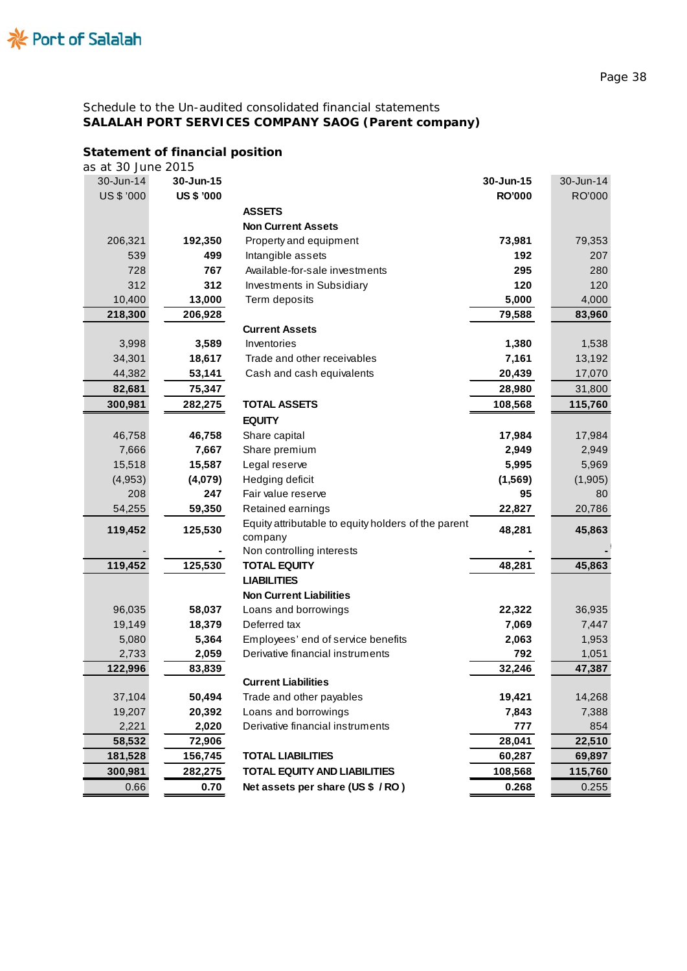# **Statement of financial position**

| as at 30 June 2015 |                   |                                                        |               |           |
|--------------------|-------------------|--------------------------------------------------------|---------------|-----------|
| 30-Jun-14          | 30-Jun-15         |                                                        | 30-Jun-15     | 30-Jun-14 |
| <b>US \$ '000</b>  | <b>US \$ '000</b> |                                                        | <b>RO'000</b> | RO'000    |
|                    |                   | <b>ASSETS</b>                                          |               |           |
|                    |                   | <b>Non Current Assets</b>                              |               |           |
| 206,321            | 192,350           | Property and equipment                                 | 73,981        | 79,353    |
| 539                | 499               | Intangible assets                                      | 192           | 207       |
| 728                | 767               | Available-for-sale investments                         | 295           | 280       |
| 312                | 312               | Investments in Subsidiary                              | 120           | 120       |
| 10,400             | 13,000            | Term deposits                                          | 5,000         | 4,000     |
| 218,300            | 206,928           |                                                        | 79,588        | 83,960    |
|                    |                   | <b>Current Assets</b>                                  |               |           |
| 3,998              | 3,589             | Inventories                                            | 1,380         | 1,538     |
| 34,301             | 18,617            | Trade and other receivables                            | 7,161         | 13,192    |
| 44,382             | 53,141            | Cash and cash equivalents                              | 20,439        | 17,070    |
| 82,681             | 75,347            |                                                        | 28,980        | 31,800    |
| 300,981            | 282,275           | <b>TOTAL ASSETS</b>                                    | 108,568       | 115,760   |
|                    |                   | <b>EQUITY</b>                                          |               |           |
| 46,758             | 46,758            | Share capital                                          | 17,984        | 17,984    |
| 7,666              | 7,667             | Share premium                                          | 2,949         | 2,949     |
| 15,518             | 15,587            | Legal reserve                                          | 5,995         | 5,969     |
| (4,953)            | (4,079)           | Hedging deficit                                        | (1, 569)      | (1,905)   |
| 208                | 247               | Fair value reserve                                     | 95            | 80        |
| 54,255             | 59,350            | Retained earnings                                      | 22,827        | 20,786    |
| 119,452            | 125,530           | Equity attributable to equity holders of the parent    | 48,281        | 45,863    |
|                    |                   | company                                                |               |           |
|                    |                   | Non controlling interests                              |               |           |
| 119,452            | 125,530           | <b>TOTAL EQUITY</b>                                    | 48,281        | 45,863    |
|                    |                   | <b>LIABILITIES</b>                                     |               |           |
|                    |                   | <b>Non Current Liabilities</b>                         |               |           |
| 96,035             | 58,037            | Loans and borrowings                                   | 22,322        | 36,935    |
| 19,149             | 18,379            | Deferred tax                                           | 7,069         | 7,447     |
| 5,080              | 5,364             | Employees' end of service benefits                     | 2,063         | 1,953     |
| 2,733              | 2,059             | Derivative financial instruments                       | 792           | 1,051     |
| 122,996            | 83,839            |                                                        | 32,246        | 47,387    |
| 37,104             | 50,494            | <b>Current Liabilities</b><br>Trade and other payables | 19,421        | 14,268    |
| 19,207             | 20,392            | Loans and borrowings                                   | 7,843         | 7,388     |
| 2,221              | 2,020             | Derivative financial instruments                       | 777           | 854       |
| 58,532             | 72,906            |                                                        | 28,041        | 22,510    |
| 181,528            | 156,745           | <b>TOTAL LIABILITIES</b>                               | 60,287        | 69,897    |
| 300,981            | 282,275           | <b>TOTAL EQUITY AND LIABILITIES</b>                    | 108,568       | 115,760   |
| 0.66               | 0.70              | Net assets per share (US \$ / RO)                      | 0.268         |           |
|                    |                   |                                                        |               | 0.255     |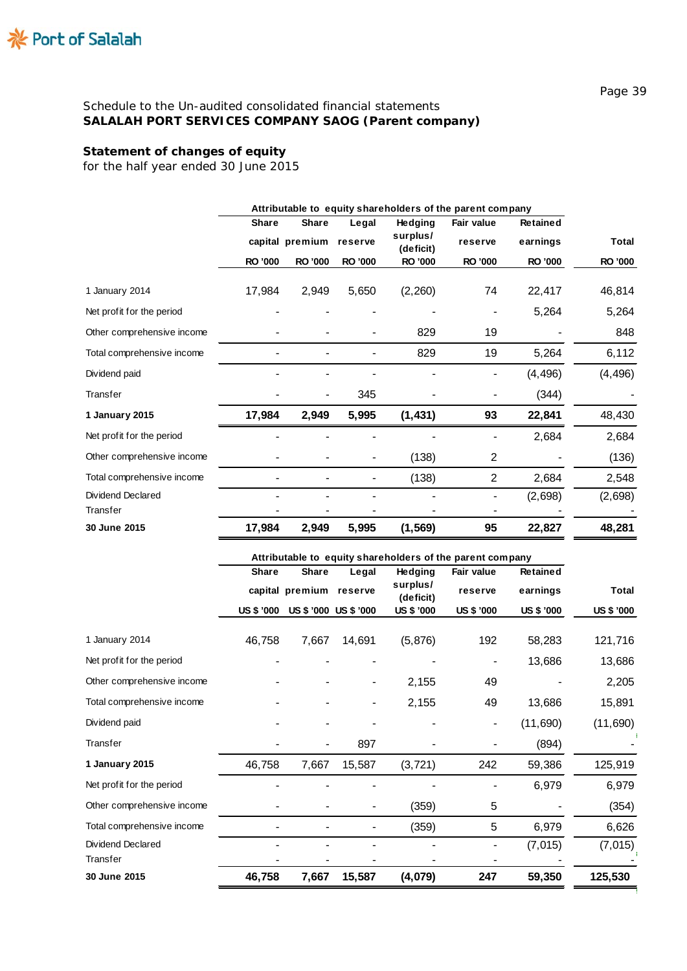# **Statement of changes of equity**

*for the half year ended 30 June 2015*

|                            | Attributable to equity shareholders of the parent company |                 |                |                       |                   |                 |                |
|----------------------------|-----------------------------------------------------------|-----------------|----------------|-----------------------|-------------------|-----------------|----------------|
|                            | <b>Share</b>                                              | <b>Share</b>    | Legal          | <b>Hedging</b>        | <b>Fair value</b> | <b>Retained</b> |                |
|                            |                                                           | capital premium | reserve        | surplus/<br>(deficit) | reserve           | earnings        | <b>Total</b>   |
|                            | <b>RO '000</b>                                            | <b>RO '000</b>  | <b>RO '000</b> | <b>RO '000</b>        | RO '000           | RO '000         | <b>RO '000</b> |
| 1 January 2014             | 17,984                                                    | 2,949           | 5,650          | (2,260)               | 74                | 22,417          | 46,814         |
| Net profit for the period  |                                                           |                 |                |                       |                   | 5,264           | 5,264          |
| Other comprehensive income |                                                           |                 |                | 829                   | 19                |                 | 848            |
| Total comprehensive income |                                                           |                 |                | 829                   | 19                | 5,264           | 6,112          |
| Dividend paid              |                                                           |                 |                |                       |                   | (4, 496)        | (4, 496)       |
| Transfer                   |                                                           |                 | 345            |                       |                   | (344)           |                |
| 1 January 2015             | 17,984                                                    | 2,949           | 5,995          | (1, 431)              | 93                | 22,841          | 48,430         |
| Net profit for the period  |                                                           |                 |                |                       |                   | 2,684           | 2,684          |
| Other comprehensive income |                                                           |                 |                | (138)                 | $\overline{2}$    |                 | (136)          |
| Total comprehensive income |                                                           |                 |                | (138)                 | $\overline{2}$    | 2,684           | 2,548          |
| Dividend Declared          |                                                           |                 |                |                       |                   | (2,698)         | (2,698)        |
| Transfer                   |                                                           |                 |                |                       |                   |                 |                |
| 30 June 2015               | 17,984                                                    | 2,949           | 5,995          | (1, 569)              | 95                | 22,827          | 48,281         |

|                            | Attributable to equity shareholders of the parent company |                         |                       |                       |                          |            |                   |  |
|----------------------------|-----------------------------------------------------------|-------------------------|-----------------------|-----------------------|--------------------------|------------|-------------------|--|
|                            | <b>Share</b>                                              | <b>Share</b>            | Legal                 | <b>Hedging</b>        | Fair value               | Retained   |                   |  |
|                            |                                                           | capital premium reserve |                       | surplus/<br>(deficit) | reserve                  | earnings   | <b>Total</b>      |  |
|                            | <b>US \$ '000</b>                                         |                         | US \$ '000 US \$ '000 | US \$ '000            | US \$ '000               | US \$ '000 | <b>US \$ '000</b> |  |
| 1 January 2014             | 46,758                                                    | 7,667                   | 14,691                | (5, 876)              | 192                      | 58,283     | 121,716           |  |
| Net profit for the period  |                                                           |                         |                       |                       |                          | 13,686     | 13,686            |  |
| Other comprehensive income |                                                           |                         |                       | 2,155                 | 49                       |            | 2,205             |  |
| Total comprehensive income |                                                           |                         |                       | 2,155                 | 49                       | 13,686     | 15,891            |  |
| Dividend paid              |                                                           |                         |                       |                       | $\overline{\phantom{a}}$ | (11,690)   | (11,690)          |  |
| Transfer                   |                                                           |                         | 897                   |                       |                          | (894)      |                   |  |
| 1 January 2015             | 46,758                                                    | 7,667                   | 15,587                | (3, 721)              | 242                      | 59,386     | 125,919           |  |
| Net profit for the period  |                                                           |                         |                       |                       |                          | 6,979      | 6,979             |  |
| Other comprehensive income |                                                           |                         |                       | (359)                 | 5                        |            | (354)             |  |
| Total comprehensive income |                                                           |                         |                       | (359)                 | 5                        | 6,979      | 6,626             |  |
| Dividend Declared          |                                                           |                         |                       |                       |                          | (7, 015)   | (7, 015)          |  |
| Transfer                   |                                                           |                         |                       |                       |                          |            |                   |  |
| 30 June 2015               | 46,758                                                    | 7,667                   | 15,587                | (4,079)               | 247                      | 59,350     | 125,530           |  |